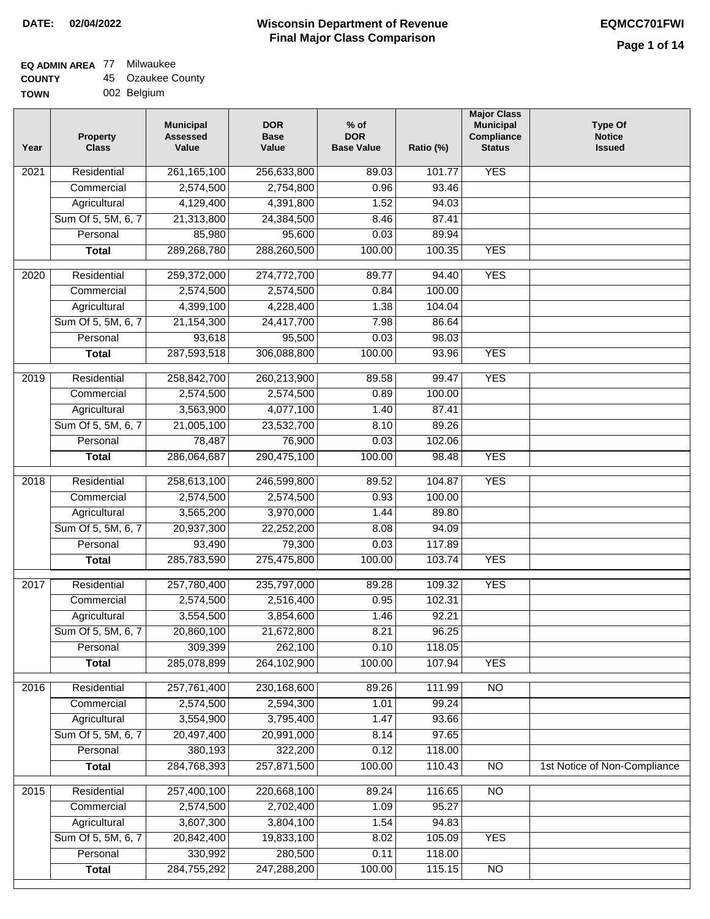### **EQ ADMIN AREA** 77 Milwaukee

| <b>COUNTY</b> | 45 Ozaukee County |
|---------------|-------------------|
|---------------|-------------------|

**TOWN** 002 Belgium

| Year | <b>Property</b><br><b>Class</b> | <b>Municipal</b><br><b>Assessed</b><br>Value | <b>DOR</b><br><b>Base</b><br>Value | $%$ of<br><b>DOR</b><br><b>Base Value</b> | Ratio (%) | <b>Major Class</b><br><b>Municipal</b><br>Compliance<br><b>Status</b> | <b>Type Of</b><br><b>Notice</b><br><b>Issued</b> |
|------|---------------------------------|----------------------------------------------|------------------------------------|-------------------------------------------|-----------|-----------------------------------------------------------------------|--------------------------------------------------|
| 2021 | Residential                     | 261, 165, 100                                | 256,633,800                        | 89.03                                     | 101.77    | <b>YES</b>                                                            |                                                  |
|      | Commercial                      | 2,574,500                                    | 2,754,800                          | 0.96                                      | 93.46     |                                                                       |                                                  |
|      | Agricultural                    | 4,129,400                                    | 4,391,800                          | 1.52                                      | 94.03     |                                                                       |                                                  |
|      | Sum Of 5, 5M, 6, 7              | 21,313,800                                   | 24,384,500                         | 8.46                                      | 87.41     |                                                                       |                                                  |
|      | Personal                        | 85,980                                       | 95,600                             | 0.03                                      | 89.94     |                                                                       |                                                  |
|      | <b>Total</b>                    | 289,268,780                                  | 288,260,500                        | 100.00                                    | 100.35    | <b>YES</b>                                                            |                                                  |
| 2020 | Residential                     | 259,372,000                                  | 274,772,700                        | 89.77                                     | 94.40     | <b>YES</b>                                                            |                                                  |
|      | Commercial                      | 2,574,500                                    | 2,574,500                          | 0.84                                      | 100.00    |                                                                       |                                                  |
|      | Agricultural                    | 4,399,100                                    | 4,228,400                          | 1.38                                      | 104.04    |                                                                       |                                                  |
|      | Sum Of 5, 5M, 6, 7              | 21, 154, 300                                 | 24,417,700                         | 7.98                                      | 86.64     |                                                                       |                                                  |
|      | Personal                        | 93,618                                       | 95,500                             | 0.03                                      | 98.03     |                                                                       |                                                  |
|      | <b>Total</b>                    | 287,593,518                                  | 306,088,800                        | 100.00                                    | 93.96     | <b>YES</b>                                                            |                                                  |
| 2019 | Residential                     | 258,842,700                                  | 260,213,900                        | 89.58                                     | 99.47     | <b>YES</b>                                                            |                                                  |
|      | Commercial                      | 2,574,500                                    | 2,574,500                          | 0.89                                      | 100.00    |                                                                       |                                                  |
|      | Agricultural                    | 3,563,900                                    | 4,077,100                          | 1.40                                      | 87.41     |                                                                       |                                                  |
|      | Sum Of 5, 5M, 6, 7              | 21,005,100                                   | 23,532,700                         | 8.10                                      | 89.26     |                                                                       |                                                  |
|      | Personal                        | 78,487                                       | 76,900                             | 0.03                                      | 102.06    |                                                                       |                                                  |
|      | <b>Total</b>                    | 286,064,687                                  | 290,475,100                        | 100.00                                    | 98.48     | <b>YES</b>                                                            |                                                  |
| 2018 | Residential                     | 258,613,100                                  | 246,599,800                        | 89.52                                     | 104.87    | <b>YES</b>                                                            |                                                  |
|      | Commercial                      | 2,574,500                                    | 2,574,500                          | 0.93                                      | 100.00    |                                                                       |                                                  |
|      | Agricultural                    | 3,565,200                                    | 3,970,000                          | 1.44                                      | 89.80     |                                                                       |                                                  |
|      | Sum Of 5, 5M, 6, 7              | 20,937,300                                   | 22,252,200                         | 8.08                                      | 94.09     |                                                                       |                                                  |
|      | Personal                        | 93,490                                       | 79,300                             | 0.03                                      | 117.89    |                                                                       |                                                  |
|      | <b>Total</b>                    | 285,783,590                                  | 275,475,800                        | 100.00                                    | 103.74    | <b>YES</b>                                                            |                                                  |
| 2017 | Residential                     | 257,780,400                                  | 235,797,000                        | 89.28                                     | 109.32    | <b>YES</b>                                                            |                                                  |
|      | Commercial                      | 2,574,500                                    | 2,516,400                          | 0.95                                      | 102.31    |                                                                       |                                                  |
|      | Agricultural                    | 3,554,500                                    | 3,854,600                          | 1.46                                      | 92.21     |                                                                       |                                                  |
|      | Sum Of 5, 5M, 6, 7              | 20,860,100                                   | 21,672,800                         | 8.21                                      | 96.25     |                                                                       |                                                  |
|      | Personal                        | 309,399                                      | 262,100                            | 0.10                                      | 118.05    |                                                                       |                                                  |
|      | <b>Total</b>                    | 285,078,899                                  | 264,102,900                        | 100.00                                    | 107.94    | <b>YES</b>                                                            |                                                  |
| 2016 | Residential                     | 257,761,400                                  | 230,168,600                        | 89.26                                     | 111.99    | N <sub>O</sub>                                                        |                                                  |
|      | Commercial                      | 2,574,500                                    | 2,594,300                          | 1.01                                      | 99.24     |                                                                       |                                                  |
|      | Agricultural                    | 3,554,900                                    | 3,795,400                          | 1.47                                      | 93.66     |                                                                       |                                                  |
|      | Sum Of 5, 5M, 6, 7              | 20,497,400                                   | 20,991,000                         | 8.14                                      | 97.65     |                                                                       |                                                  |
|      | Personal                        | 380,193                                      | 322,200                            | 0.12                                      | 118.00    |                                                                       |                                                  |
|      | <b>Total</b>                    | 284,768,393                                  | 257,871,500                        | 100.00                                    | 110.43    | N <sub>O</sub>                                                        | 1st Notice of Non-Compliance                     |
| 2015 | Residential                     | 257,400,100                                  | 220,668,100                        | 89.24                                     | 116.65    | N <sub>O</sub>                                                        |                                                  |
|      | Commercial                      | 2,574,500                                    | 2,702,400                          | 1.09                                      | 95.27     |                                                                       |                                                  |
|      | Agricultural                    | 3,607,300                                    | 3,804,100                          | 1.54                                      | 94.83     |                                                                       |                                                  |
|      | Sum Of 5, 5M, 6, 7              | 20,842,400                                   | 19,833,100                         | 8.02                                      | 105.09    | <b>YES</b>                                                            |                                                  |
|      | Personal                        | 330,992                                      | 280,500                            | 0.11                                      | 118.00    |                                                                       |                                                  |
|      | <b>Total</b>                    | 284,755,292                                  | 247,288,200                        | 100.00                                    | 115.15    | N <sub>O</sub>                                                        |                                                  |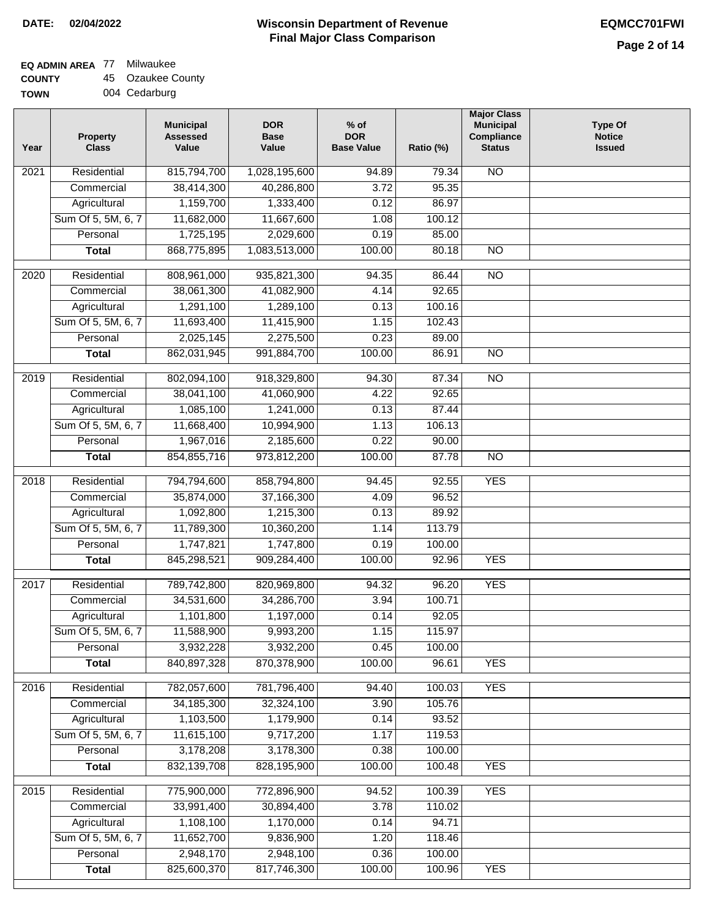## **EQ ADMIN AREA** 77 Milwaukee

**COUNTY TOWN** 45 Ozaukee County

004 Cedarburg

| Year              | <b>Property</b><br><b>Class</b> | <b>Municipal</b><br><b>Assessed</b><br>Value | <b>DOR</b><br><b>Base</b><br>Value | $%$ of<br><b>DOR</b><br><b>Base Value</b> | Ratio (%) | <b>Major Class</b><br><b>Municipal</b><br>Compliance<br><b>Status</b> | <b>Type Of</b><br><b>Notice</b><br><b>Issued</b> |
|-------------------|---------------------------------|----------------------------------------------|------------------------------------|-------------------------------------------|-----------|-----------------------------------------------------------------------|--------------------------------------------------|
| 2021              | Residential                     | 815,794,700                                  | 1,028,195,600                      | 94.89                                     | 79.34     | <b>NO</b>                                                             |                                                  |
|                   | Commercial                      | 38,414,300                                   | 40,286,800                         | 3.72                                      | 95.35     |                                                                       |                                                  |
|                   | Agricultural                    | 1,159,700                                    | 1,333,400                          | 0.12                                      | 86.97     |                                                                       |                                                  |
|                   | Sum Of 5, 5M, 6, 7              | 11,682,000                                   | 11,667,600                         | 1.08                                      | 100.12    |                                                                       |                                                  |
|                   | Personal                        | 1,725,195                                    | 2,029,600                          | 0.19                                      | 85.00     |                                                                       |                                                  |
|                   | <b>Total</b>                    | 868,775,895                                  | 1,083,513,000                      | 100.00                                    | 80.18     | $\overline{NO}$                                                       |                                                  |
| 2020              | Residential                     | 808,961,000                                  | 935,821,300                        | 94.35                                     | 86.44     | $\overline{10}$                                                       |                                                  |
|                   | Commercial                      | 38,061,300                                   | 41,082,900                         | 4.14                                      | 92.65     |                                                                       |                                                  |
|                   | Agricultural                    | 1,291,100                                    | 1,289,100                          | 0.13                                      | 100.16    |                                                                       |                                                  |
|                   | Sum Of 5, 5M, 6, 7              | 11,693,400                                   | 11,415,900                         | 1.15                                      | 102.43    |                                                                       |                                                  |
|                   | Personal                        | 2,025,145                                    | 2,275,500                          | 0.23                                      | 89.00     |                                                                       |                                                  |
|                   | <b>Total</b>                    | 862,031,945                                  | 991,884,700                        | 100.00                                    | 86.91     | $\overline{NO}$                                                       |                                                  |
|                   |                                 |                                              |                                    |                                           |           |                                                                       |                                                  |
| 2019              | Residential                     | 802,094,100                                  | 918,329,800                        | 94.30                                     | 87.34     | <b>NO</b>                                                             |                                                  |
|                   | Commercial                      | 38,041,100                                   | 41,060,900                         | 4.22                                      | 92.65     |                                                                       |                                                  |
|                   | Agricultural                    | 1,085,100                                    | 1,241,000                          | 0.13                                      | 87.44     |                                                                       |                                                  |
|                   | Sum Of 5, 5M, 6, 7              | 11,668,400                                   | 10,994,900                         | 1.13                                      | 106.13    |                                                                       |                                                  |
|                   | Personal                        | 1,967,016                                    | 2,185,600                          | 0.22                                      | 90.00     |                                                                       |                                                  |
|                   | <b>Total</b>                    | 854,855,716                                  | 973,812,200                        | 100.00                                    | 87.78     | <b>NO</b>                                                             |                                                  |
| $\overline{2018}$ | Residential                     | 794,794,600                                  | 858,794,800                        | 94.45                                     | 92.55     | <b>YES</b>                                                            |                                                  |
|                   | Commercial                      | 35,874,000                                   | 37,166,300                         | 4.09                                      | 96.52     |                                                                       |                                                  |
|                   | Agricultural                    | 1,092,800                                    | 1,215,300                          | 0.13                                      | 89.92     |                                                                       |                                                  |
|                   | Sum Of 5, 5M, 6, 7              | 11,789,300                                   | 10,360,200                         | 1.14                                      | 113.79    |                                                                       |                                                  |
|                   | Personal                        | 1,747,821                                    | 1,747,800                          | 0.19                                      | 100.00    |                                                                       |                                                  |
|                   | <b>Total</b>                    | 845,298,521                                  | 909,284,400                        | 100.00                                    | 92.96     | <b>YES</b>                                                            |                                                  |
| 2017              | Residential                     | 789,742,800                                  | 820,969,800                        | 94.32                                     | 96.20     | <b>YES</b>                                                            |                                                  |
|                   | Commercial                      | 34,531,600                                   | 34,286,700                         | 3.94                                      | 100.71    |                                                                       |                                                  |
|                   | Agricultural                    | 1,101,800                                    | 1,197,000                          | 0.14                                      | 92.05     |                                                                       |                                                  |
|                   | Sum Of 5, 5M, 6, 7              | 11,588,900                                   | 9,993,200                          | 1.15                                      | 115.97    |                                                                       |                                                  |
|                   | Personal                        | 3,932,228                                    | 3,932,200                          | 0.45                                      | 100.00    |                                                                       |                                                  |
|                   | <b>Total</b>                    | 840,897,328                                  | 870,378,900                        | 100.00                                    | 96.61     | <b>YES</b>                                                            |                                                  |
|                   |                                 |                                              |                                    |                                           |           |                                                                       |                                                  |
| 2016              | Residential                     | 782,057,600                                  | 781,796,400                        | 94.40                                     | 100.03    | <b>YES</b>                                                            |                                                  |
|                   | Commercial                      | 34, 185, 300                                 | 32,324,100                         | 3.90                                      | 105.76    |                                                                       |                                                  |
|                   | Agricultural                    | 1,103,500                                    | 1,179,900                          | 0.14                                      | 93.52     |                                                                       |                                                  |
|                   | Sum Of 5, 5M, 6, 7              | 11,615,100                                   | 9,717,200                          | 1.17                                      | 119.53    |                                                                       |                                                  |
|                   | Personal                        | 3,178,208                                    | 3,178,300                          | 0.38                                      | 100.00    |                                                                       |                                                  |
|                   | <b>Total</b>                    | 832, 139, 708                                | 828,195,900                        | 100.00                                    | 100.48    | <b>YES</b>                                                            |                                                  |
| 2015              | Residential                     | 775,900,000                                  | 772,896,900                        | 94.52                                     | 100.39    | <b>YES</b>                                                            |                                                  |
|                   | Commercial                      | 33,991,400                                   | 30,894,400                         | 3.78                                      | 110.02    |                                                                       |                                                  |
|                   | Agricultural                    | 1,108,100                                    | 1,170,000                          | 0.14                                      | 94.71     |                                                                       |                                                  |
|                   | Sum Of 5, 5M, 6, 7              | 11,652,700                                   | 9,836,900                          | 1.20                                      | 118.46    |                                                                       |                                                  |
|                   | Personal                        | 2,948,170                                    | 2,948,100                          | 0.36                                      | 100.00    |                                                                       |                                                  |
|                   | <b>Total</b>                    | 825,600,370                                  | 817,746,300                        | 100.00                                    | 100.96    | <b>YES</b>                                                            |                                                  |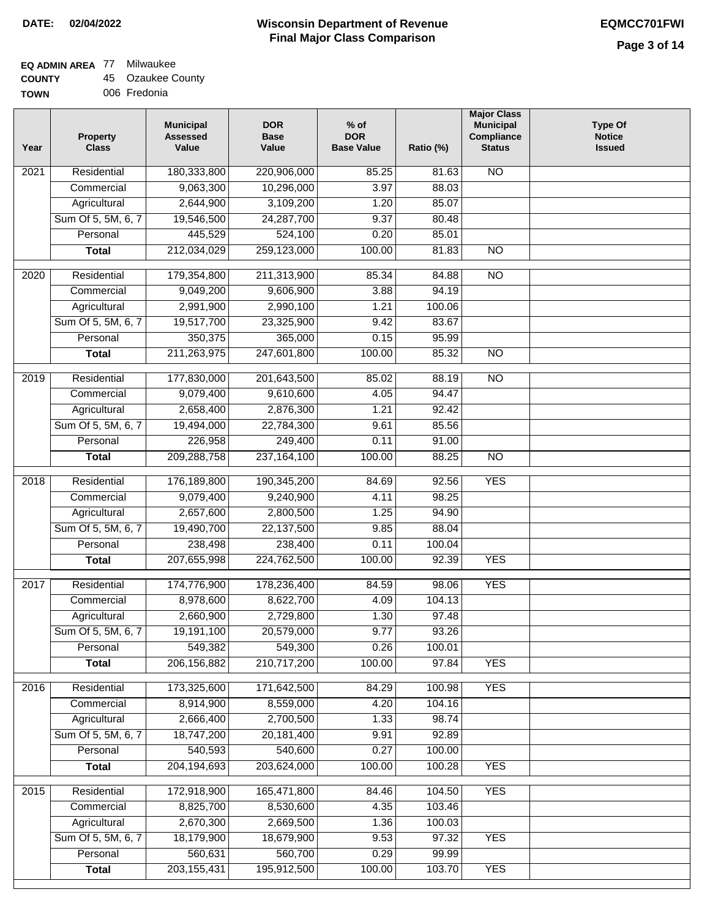# **EQ ADMIN AREA** 77 Milwaukee

**COUNTY** 45 Ozaukee County

**TOWN** 006 Fredonia

| Residential<br><b>NO</b><br>$\overline{202}1$<br>180,333,800<br>220,906,000<br>85.25<br>81.63<br>9,063,300<br>10,296,000<br>3.97<br>88.03<br>Commercial<br>Agricultural<br>2,644,900<br>3,109,200<br>1.20<br>85.07<br>Sum Of 5, 5M, 6, 7<br>19,546,500<br>24,287,700<br>9.37<br>80.48<br>445,529<br>524,100<br>Personal<br>0.20<br>85.01<br>212,034,029<br>259,123,000<br>100.00<br>$\overline{NO}$<br><b>Total</b><br>81.83<br>$\overline{NO}$<br>$\overline{2020}$<br>Residential<br>179,354,800<br>211,313,900<br>85.34<br>84.88<br>Commercial<br>9,049,200<br>9,606,900<br>3.88<br>94.19<br>2,991,900<br>2,990,100<br>1.21<br>100.06<br>Agricultural<br>Sum Of 5, 5M, 6, 7<br>19,517,700<br>23,325,900<br>83.67<br>9.42<br>350,375<br>365,000<br>95.99<br>Personal<br>0.15<br>211,263,975<br>247,601,800<br>100.00<br>85.32<br>$\overline{NO}$<br><b>Total</b><br>2019<br>Residential<br>177,830,000<br>201,643,500<br>85.02<br>88.19<br><b>NO</b><br>9,079,400<br>94.47<br>Commercial<br>9,610,600<br>4.05<br>2,658,400<br>2,876,300<br>1.21<br>92.42<br>Agricultural<br>Sum Of 5, 5M, 6, 7<br>19,494,000<br>22,784,300<br>9.61<br>85.56<br>226,958<br>249,400<br>Personal<br>0.11<br>91.00<br>209,288,758<br>237, 164, 100<br>100.00<br>$\overline{NO}$<br><b>Total</b><br>88.25<br>Residential<br>176,189,800<br><b>YES</b><br>2018<br>190,345,200<br>84.69<br>92.56<br>9,079,400<br>Commercial<br>9,240,900<br>4.11<br>98.25<br>2,657,600<br>2,800,500<br>94.90<br>Agricultural<br>1.25<br>Sum Of 5, 5M, 6, 7<br>19,490,700<br>22,137,500<br>88.04<br>9.85<br>Personal<br>238,498<br>238,400<br>0.11<br>100.04<br>207,655,998<br>224,762,500<br>100.00<br><b>YES</b><br><b>Total</b><br>92.39<br>2017<br>Residential<br>174,776,900<br>178,236,400<br><b>YES</b><br>84.59<br>98.06<br>Commercial<br>8,978,600<br>8,622,700<br>4.09<br>104.13<br>2,660,900<br>2,729,800<br>1.30<br>97.48<br>Agricultural<br>20,579,000<br>9.77<br>93.26<br>Sum Of 5, 5M, 6, 7<br>19,191,100<br>549,382<br>549,300<br>0.26<br>Personal<br>100.01<br>206, 156, 882<br>210,717,200<br>100.00<br>97.84<br><b>YES</b><br><b>Total</b><br>173,325,600<br><b>YES</b><br>Residential<br>171,642,500<br>100.98<br>2016<br>84.29<br>Commercial<br>8,914,900<br>8,559,000<br>4.20<br>104.16<br>2,666,400<br>2,700,500<br>1.33<br>98.74<br>Agricultural<br>Sum Of 5, 5M, 6, 7<br>18,747,200<br>20,181,400<br>9.91<br>92.89<br>Personal<br>540,593<br>540,600<br>0.27<br>100.00<br><b>YES</b><br>204, 194, 693<br>203,624,000<br>100.00<br>100.28<br><b>Total</b><br>Residential<br><b>YES</b><br>172,918,900<br>165,471,800<br>104.50<br>2015<br>84.46<br>8,825,700<br>8,530,600<br>4.35<br>103.46<br>Commercial<br>2,670,300<br>2,669,500<br>100.03<br>Agricultural<br>1.36<br>Sum Of 5, 5M, 6, 7<br>18,179,900<br>18,679,900<br>9.53<br>97.32<br><b>YES</b> | Year | <b>Property</b><br><b>Class</b> | <b>Municipal</b><br><b>Assessed</b><br>Value | <b>DOR</b><br><b>Base</b><br>Value | % of<br><b>DOR</b><br><b>Base Value</b> | Ratio (%) | <b>Major Class</b><br><b>Municipal</b><br>Compliance<br><b>Status</b> | <b>Type Of</b><br><b>Notice</b><br><b>Issued</b> |
|------------------------------------------------------------------------------------------------------------------------------------------------------------------------------------------------------------------------------------------------------------------------------------------------------------------------------------------------------------------------------------------------------------------------------------------------------------------------------------------------------------------------------------------------------------------------------------------------------------------------------------------------------------------------------------------------------------------------------------------------------------------------------------------------------------------------------------------------------------------------------------------------------------------------------------------------------------------------------------------------------------------------------------------------------------------------------------------------------------------------------------------------------------------------------------------------------------------------------------------------------------------------------------------------------------------------------------------------------------------------------------------------------------------------------------------------------------------------------------------------------------------------------------------------------------------------------------------------------------------------------------------------------------------------------------------------------------------------------------------------------------------------------------------------------------------------------------------------------------------------------------------------------------------------------------------------------------------------------------------------------------------------------------------------------------------------------------------------------------------------------------------------------------------------------------------------------------------------------------------------------------------------------------------------------------------------------------------------------------------------------------------------------------------------------------------------------------------------------------------------------------------------------------------------------------------------------------------------------------------------------------------------------------------------------------------------------------------------------------------------------------------------------------------------------------------------------------------|------|---------------------------------|----------------------------------------------|------------------------------------|-----------------------------------------|-----------|-----------------------------------------------------------------------|--------------------------------------------------|
|                                                                                                                                                                                                                                                                                                                                                                                                                                                                                                                                                                                                                                                                                                                                                                                                                                                                                                                                                                                                                                                                                                                                                                                                                                                                                                                                                                                                                                                                                                                                                                                                                                                                                                                                                                                                                                                                                                                                                                                                                                                                                                                                                                                                                                                                                                                                                                                                                                                                                                                                                                                                                                                                                                                                                                                                                                          |      |                                 |                                              |                                    |                                         |           |                                                                       |                                                  |
|                                                                                                                                                                                                                                                                                                                                                                                                                                                                                                                                                                                                                                                                                                                                                                                                                                                                                                                                                                                                                                                                                                                                                                                                                                                                                                                                                                                                                                                                                                                                                                                                                                                                                                                                                                                                                                                                                                                                                                                                                                                                                                                                                                                                                                                                                                                                                                                                                                                                                                                                                                                                                                                                                                                                                                                                                                          |      |                                 |                                              |                                    |                                         |           |                                                                       |                                                  |
|                                                                                                                                                                                                                                                                                                                                                                                                                                                                                                                                                                                                                                                                                                                                                                                                                                                                                                                                                                                                                                                                                                                                                                                                                                                                                                                                                                                                                                                                                                                                                                                                                                                                                                                                                                                                                                                                                                                                                                                                                                                                                                                                                                                                                                                                                                                                                                                                                                                                                                                                                                                                                                                                                                                                                                                                                                          |      |                                 |                                              |                                    |                                         |           |                                                                       |                                                  |
|                                                                                                                                                                                                                                                                                                                                                                                                                                                                                                                                                                                                                                                                                                                                                                                                                                                                                                                                                                                                                                                                                                                                                                                                                                                                                                                                                                                                                                                                                                                                                                                                                                                                                                                                                                                                                                                                                                                                                                                                                                                                                                                                                                                                                                                                                                                                                                                                                                                                                                                                                                                                                                                                                                                                                                                                                                          |      |                                 |                                              |                                    |                                         |           |                                                                       |                                                  |
|                                                                                                                                                                                                                                                                                                                                                                                                                                                                                                                                                                                                                                                                                                                                                                                                                                                                                                                                                                                                                                                                                                                                                                                                                                                                                                                                                                                                                                                                                                                                                                                                                                                                                                                                                                                                                                                                                                                                                                                                                                                                                                                                                                                                                                                                                                                                                                                                                                                                                                                                                                                                                                                                                                                                                                                                                                          |      |                                 |                                              |                                    |                                         |           |                                                                       |                                                  |
|                                                                                                                                                                                                                                                                                                                                                                                                                                                                                                                                                                                                                                                                                                                                                                                                                                                                                                                                                                                                                                                                                                                                                                                                                                                                                                                                                                                                                                                                                                                                                                                                                                                                                                                                                                                                                                                                                                                                                                                                                                                                                                                                                                                                                                                                                                                                                                                                                                                                                                                                                                                                                                                                                                                                                                                                                                          |      |                                 |                                              |                                    |                                         |           |                                                                       |                                                  |
|                                                                                                                                                                                                                                                                                                                                                                                                                                                                                                                                                                                                                                                                                                                                                                                                                                                                                                                                                                                                                                                                                                                                                                                                                                                                                                                                                                                                                                                                                                                                                                                                                                                                                                                                                                                                                                                                                                                                                                                                                                                                                                                                                                                                                                                                                                                                                                                                                                                                                                                                                                                                                                                                                                                                                                                                                                          |      |                                 |                                              |                                    |                                         |           |                                                                       |                                                  |
|                                                                                                                                                                                                                                                                                                                                                                                                                                                                                                                                                                                                                                                                                                                                                                                                                                                                                                                                                                                                                                                                                                                                                                                                                                                                                                                                                                                                                                                                                                                                                                                                                                                                                                                                                                                                                                                                                                                                                                                                                                                                                                                                                                                                                                                                                                                                                                                                                                                                                                                                                                                                                                                                                                                                                                                                                                          |      |                                 |                                              |                                    |                                         |           |                                                                       |                                                  |
|                                                                                                                                                                                                                                                                                                                                                                                                                                                                                                                                                                                                                                                                                                                                                                                                                                                                                                                                                                                                                                                                                                                                                                                                                                                                                                                                                                                                                                                                                                                                                                                                                                                                                                                                                                                                                                                                                                                                                                                                                                                                                                                                                                                                                                                                                                                                                                                                                                                                                                                                                                                                                                                                                                                                                                                                                                          |      |                                 |                                              |                                    |                                         |           |                                                                       |                                                  |
|                                                                                                                                                                                                                                                                                                                                                                                                                                                                                                                                                                                                                                                                                                                                                                                                                                                                                                                                                                                                                                                                                                                                                                                                                                                                                                                                                                                                                                                                                                                                                                                                                                                                                                                                                                                                                                                                                                                                                                                                                                                                                                                                                                                                                                                                                                                                                                                                                                                                                                                                                                                                                                                                                                                                                                                                                                          |      |                                 |                                              |                                    |                                         |           |                                                                       |                                                  |
|                                                                                                                                                                                                                                                                                                                                                                                                                                                                                                                                                                                                                                                                                                                                                                                                                                                                                                                                                                                                                                                                                                                                                                                                                                                                                                                                                                                                                                                                                                                                                                                                                                                                                                                                                                                                                                                                                                                                                                                                                                                                                                                                                                                                                                                                                                                                                                                                                                                                                                                                                                                                                                                                                                                                                                                                                                          |      |                                 |                                              |                                    |                                         |           |                                                                       |                                                  |
|                                                                                                                                                                                                                                                                                                                                                                                                                                                                                                                                                                                                                                                                                                                                                                                                                                                                                                                                                                                                                                                                                                                                                                                                                                                                                                                                                                                                                                                                                                                                                                                                                                                                                                                                                                                                                                                                                                                                                                                                                                                                                                                                                                                                                                                                                                                                                                                                                                                                                                                                                                                                                                                                                                                                                                                                                                          |      |                                 |                                              |                                    |                                         |           |                                                                       |                                                  |
|                                                                                                                                                                                                                                                                                                                                                                                                                                                                                                                                                                                                                                                                                                                                                                                                                                                                                                                                                                                                                                                                                                                                                                                                                                                                                                                                                                                                                                                                                                                                                                                                                                                                                                                                                                                                                                                                                                                                                                                                                                                                                                                                                                                                                                                                                                                                                                                                                                                                                                                                                                                                                                                                                                                                                                                                                                          |      |                                 |                                              |                                    |                                         |           |                                                                       |                                                  |
|                                                                                                                                                                                                                                                                                                                                                                                                                                                                                                                                                                                                                                                                                                                                                                                                                                                                                                                                                                                                                                                                                                                                                                                                                                                                                                                                                                                                                                                                                                                                                                                                                                                                                                                                                                                                                                                                                                                                                                                                                                                                                                                                                                                                                                                                                                                                                                                                                                                                                                                                                                                                                                                                                                                                                                                                                                          |      |                                 |                                              |                                    |                                         |           |                                                                       |                                                  |
|                                                                                                                                                                                                                                                                                                                                                                                                                                                                                                                                                                                                                                                                                                                                                                                                                                                                                                                                                                                                                                                                                                                                                                                                                                                                                                                                                                                                                                                                                                                                                                                                                                                                                                                                                                                                                                                                                                                                                                                                                                                                                                                                                                                                                                                                                                                                                                                                                                                                                                                                                                                                                                                                                                                                                                                                                                          |      |                                 |                                              |                                    |                                         |           |                                                                       |                                                  |
|                                                                                                                                                                                                                                                                                                                                                                                                                                                                                                                                                                                                                                                                                                                                                                                                                                                                                                                                                                                                                                                                                                                                                                                                                                                                                                                                                                                                                                                                                                                                                                                                                                                                                                                                                                                                                                                                                                                                                                                                                                                                                                                                                                                                                                                                                                                                                                                                                                                                                                                                                                                                                                                                                                                                                                                                                                          |      |                                 |                                              |                                    |                                         |           |                                                                       |                                                  |
|                                                                                                                                                                                                                                                                                                                                                                                                                                                                                                                                                                                                                                                                                                                                                                                                                                                                                                                                                                                                                                                                                                                                                                                                                                                                                                                                                                                                                                                                                                                                                                                                                                                                                                                                                                                                                                                                                                                                                                                                                                                                                                                                                                                                                                                                                                                                                                                                                                                                                                                                                                                                                                                                                                                                                                                                                                          |      |                                 |                                              |                                    |                                         |           |                                                                       |                                                  |
|                                                                                                                                                                                                                                                                                                                                                                                                                                                                                                                                                                                                                                                                                                                                                                                                                                                                                                                                                                                                                                                                                                                                                                                                                                                                                                                                                                                                                                                                                                                                                                                                                                                                                                                                                                                                                                                                                                                                                                                                                                                                                                                                                                                                                                                                                                                                                                                                                                                                                                                                                                                                                                                                                                                                                                                                                                          |      |                                 |                                              |                                    |                                         |           |                                                                       |                                                  |
|                                                                                                                                                                                                                                                                                                                                                                                                                                                                                                                                                                                                                                                                                                                                                                                                                                                                                                                                                                                                                                                                                                                                                                                                                                                                                                                                                                                                                                                                                                                                                                                                                                                                                                                                                                                                                                                                                                                                                                                                                                                                                                                                                                                                                                                                                                                                                                                                                                                                                                                                                                                                                                                                                                                                                                                                                                          |      |                                 |                                              |                                    |                                         |           |                                                                       |                                                  |
|                                                                                                                                                                                                                                                                                                                                                                                                                                                                                                                                                                                                                                                                                                                                                                                                                                                                                                                                                                                                                                                                                                                                                                                                                                                                                                                                                                                                                                                                                                                                                                                                                                                                                                                                                                                                                                                                                                                                                                                                                                                                                                                                                                                                                                                                                                                                                                                                                                                                                                                                                                                                                                                                                                                                                                                                                                          |      |                                 |                                              |                                    |                                         |           |                                                                       |                                                  |
|                                                                                                                                                                                                                                                                                                                                                                                                                                                                                                                                                                                                                                                                                                                                                                                                                                                                                                                                                                                                                                                                                                                                                                                                                                                                                                                                                                                                                                                                                                                                                                                                                                                                                                                                                                                                                                                                                                                                                                                                                                                                                                                                                                                                                                                                                                                                                                                                                                                                                                                                                                                                                                                                                                                                                                                                                                          |      |                                 |                                              |                                    |                                         |           |                                                                       |                                                  |
|                                                                                                                                                                                                                                                                                                                                                                                                                                                                                                                                                                                                                                                                                                                                                                                                                                                                                                                                                                                                                                                                                                                                                                                                                                                                                                                                                                                                                                                                                                                                                                                                                                                                                                                                                                                                                                                                                                                                                                                                                                                                                                                                                                                                                                                                                                                                                                                                                                                                                                                                                                                                                                                                                                                                                                                                                                          |      |                                 |                                              |                                    |                                         |           |                                                                       |                                                  |
|                                                                                                                                                                                                                                                                                                                                                                                                                                                                                                                                                                                                                                                                                                                                                                                                                                                                                                                                                                                                                                                                                                                                                                                                                                                                                                                                                                                                                                                                                                                                                                                                                                                                                                                                                                                                                                                                                                                                                                                                                                                                                                                                                                                                                                                                                                                                                                                                                                                                                                                                                                                                                                                                                                                                                                                                                                          |      |                                 |                                              |                                    |                                         |           |                                                                       |                                                  |
|                                                                                                                                                                                                                                                                                                                                                                                                                                                                                                                                                                                                                                                                                                                                                                                                                                                                                                                                                                                                                                                                                                                                                                                                                                                                                                                                                                                                                                                                                                                                                                                                                                                                                                                                                                                                                                                                                                                                                                                                                                                                                                                                                                                                                                                                                                                                                                                                                                                                                                                                                                                                                                                                                                                                                                                                                                          |      |                                 |                                              |                                    |                                         |           |                                                                       |                                                  |
|                                                                                                                                                                                                                                                                                                                                                                                                                                                                                                                                                                                                                                                                                                                                                                                                                                                                                                                                                                                                                                                                                                                                                                                                                                                                                                                                                                                                                                                                                                                                                                                                                                                                                                                                                                                                                                                                                                                                                                                                                                                                                                                                                                                                                                                                                                                                                                                                                                                                                                                                                                                                                                                                                                                                                                                                                                          |      |                                 |                                              |                                    |                                         |           |                                                                       |                                                  |
|                                                                                                                                                                                                                                                                                                                                                                                                                                                                                                                                                                                                                                                                                                                                                                                                                                                                                                                                                                                                                                                                                                                                                                                                                                                                                                                                                                                                                                                                                                                                                                                                                                                                                                                                                                                                                                                                                                                                                                                                                                                                                                                                                                                                                                                                                                                                                                                                                                                                                                                                                                                                                                                                                                                                                                                                                                          |      |                                 |                                              |                                    |                                         |           |                                                                       |                                                  |
|                                                                                                                                                                                                                                                                                                                                                                                                                                                                                                                                                                                                                                                                                                                                                                                                                                                                                                                                                                                                                                                                                                                                                                                                                                                                                                                                                                                                                                                                                                                                                                                                                                                                                                                                                                                                                                                                                                                                                                                                                                                                                                                                                                                                                                                                                                                                                                                                                                                                                                                                                                                                                                                                                                                                                                                                                                          |      |                                 |                                              |                                    |                                         |           |                                                                       |                                                  |
|                                                                                                                                                                                                                                                                                                                                                                                                                                                                                                                                                                                                                                                                                                                                                                                                                                                                                                                                                                                                                                                                                                                                                                                                                                                                                                                                                                                                                                                                                                                                                                                                                                                                                                                                                                                                                                                                                                                                                                                                                                                                                                                                                                                                                                                                                                                                                                                                                                                                                                                                                                                                                                                                                                                                                                                                                                          |      |                                 |                                              |                                    |                                         |           |                                                                       |                                                  |
|                                                                                                                                                                                                                                                                                                                                                                                                                                                                                                                                                                                                                                                                                                                                                                                                                                                                                                                                                                                                                                                                                                                                                                                                                                                                                                                                                                                                                                                                                                                                                                                                                                                                                                                                                                                                                                                                                                                                                                                                                                                                                                                                                                                                                                                                                                                                                                                                                                                                                                                                                                                                                                                                                                                                                                                                                                          |      |                                 |                                              |                                    |                                         |           |                                                                       |                                                  |
|                                                                                                                                                                                                                                                                                                                                                                                                                                                                                                                                                                                                                                                                                                                                                                                                                                                                                                                                                                                                                                                                                                                                                                                                                                                                                                                                                                                                                                                                                                                                                                                                                                                                                                                                                                                                                                                                                                                                                                                                                                                                                                                                                                                                                                                                                                                                                                                                                                                                                                                                                                                                                                                                                                                                                                                                                                          |      |                                 |                                              |                                    |                                         |           |                                                                       |                                                  |
|                                                                                                                                                                                                                                                                                                                                                                                                                                                                                                                                                                                                                                                                                                                                                                                                                                                                                                                                                                                                                                                                                                                                                                                                                                                                                                                                                                                                                                                                                                                                                                                                                                                                                                                                                                                                                                                                                                                                                                                                                                                                                                                                                                                                                                                                                                                                                                                                                                                                                                                                                                                                                                                                                                                                                                                                                                          |      |                                 |                                              |                                    |                                         |           |                                                                       |                                                  |
|                                                                                                                                                                                                                                                                                                                                                                                                                                                                                                                                                                                                                                                                                                                                                                                                                                                                                                                                                                                                                                                                                                                                                                                                                                                                                                                                                                                                                                                                                                                                                                                                                                                                                                                                                                                                                                                                                                                                                                                                                                                                                                                                                                                                                                                                                                                                                                                                                                                                                                                                                                                                                                                                                                                                                                                                                                          |      |                                 |                                              |                                    |                                         |           |                                                                       |                                                  |
|                                                                                                                                                                                                                                                                                                                                                                                                                                                                                                                                                                                                                                                                                                                                                                                                                                                                                                                                                                                                                                                                                                                                                                                                                                                                                                                                                                                                                                                                                                                                                                                                                                                                                                                                                                                                                                                                                                                                                                                                                                                                                                                                                                                                                                                                                                                                                                                                                                                                                                                                                                                                                                                                                                                                                                                                                                          |      |                                 |                                              |                                    |                                         |           |                                                                       |                                                  |
|                                                                                                                                                                                                                                                                                                                                                                                                                                                                                                                                                                                                                                                                                                                                                                                                                                                                                                                                                                                                                                                                                                                                                                                                                                                                                                                                                                                                                                                                                                                                                                                                                                                                                                                                                                                                                                                                                                                                                                                                                                                                                                                                                                                                                                                                                                                                                                                                                                                                                                                                                                                                                                                                                                                                                                                                                                          |      |                                 |                                              |                                    |                                         |           |                                                                       |                                                  |
|                                                                                                                                                                                                                                                                                                                                                                                                                                                                                                                                                                                                                                                                                                                                                                                                                                                                                                                                                                                                                                                                                                                                                                                                                                                                                                                                                                                                                                                                                                                                                                                                                                                                                                                                                                                                                                                                                                                                                                                                                                                                                                                                                                                                                                                                                                                                                                                                                                                                                                                                                                                                                                                                                                                                                                                                                                          |      |                                 |                                              |                                    |                                         |           |                                                                       |                                                  |
|                                                                                                                                                                                                                                                                                                                                                                                                                                                                                                                                                                                                                                                                                                                                                                                                                                                                                                                                                                                                                                                                                                                                                                                                                                                                                                                                                                                                                                                                                                                                                                                                                                                                                                                                                                                                                                                                                                                                                                                                                                                                                                                                                                                                                                                                                                                                                                                                                                                                                                                                                                                                                                                                                                                                                                                                                                          |      |                                 |                                              |                                    |                                         |           |                                                                       |                                                  |
|                                                                                                                                                                                                                                                                                                                                                                                                                                                                                                                                                                                                                                                                                                                                                                                                                                                                                                                                                                                                                                                                                                                                                                                                                                                                                                                                                                                                                                                                                                                                                                                                                                                                                                                                                                                                                                                                                                                                                                                                                                                                                                                                                                                                                                                                                                                                                                                                                                                                                                                                                                                                                                                                                                                                                                                                                                          |      |                                 |                                              |                                    |                                         |           |                                                                       |                                                  |
|                                                                                                                                                                                                                                                                                                                                                                                                                                                                                                                                                                                                                                                                                                                                                                                                                                                                                                                                                                                                                                                                                                                                                                                                                                                                                                                                                                                                                                                                                                                                                                                                                                                                                                                                                                                                                                                                                                                                                                                                                                                                                                                                                                                                                                                                                                                                                                                                                                                                                                                                                                                                                                                                                                                                                                                                                                          |      |                                 |                                              |                                    |                                         |           |                                                                       |                                                  |
|                                                                                                                                                                                                                                                                                                                                                                                                                                                                                                                                                                                                                                                                                                                                                                                                                                                                                                                                                                                                                                                                                                                                                                                                                                                                                                                                                                                                                                                                                                                                                                                                                                                                                                                                                                                                                                                                                                                                                                                                                                                                                                                                                                                                                                                                                                                                                                                                                                                                                                                                                                                                                                                                                                                                                                                                                                          |      |                                 |                                              |                                    |                                         |           |                                                                       |                                                  |
|                                                                                                                                                                                                                                                                                                                                                                                                                                                                                                                                                                                                                                                                                                                                                                                                                                                                                                                                                                                                                                                                                                                                                                                                                                                                                                                                                                                                                                                                                                                                                                                                                                                                                                                                                                                                                                                                                                                                                                                                                                                                                                                                                                                                                                                                                                                                                                                                                                                                                                                                                                                                                                                                                                                                                                                                                                          |      |                                 |                                              |                                    |                                         |           |                                                                       |                                                  |
| 560,631<br>560,700<br>0.29<br>99.99<br>Personal                                                                                                                                                                                                                                                                                                                                                                                                                                                                                                                                                                                                                                                                                                                                                                                                                                                                                                                                                                                                                                                                                                                                                                                                                                                                                                                                                                                                                                                                                                                                                                                                                                                                                                                                                                                                                                                                                                                                                                                                                                                                                                                                                                                                                                                                                                                                                                                                                                                                                                                                                                                                                                                                                                                                                                                          |      |                                 |                                              |                                    |                                         |           |                                                                       |                                                  |
| 203, 155, 431<br>195,912,500<br>100.00<br>103.70<br><b>YES</b><br><b>Total</b>                                                                                                                                                                                                                                                                                                                                                                                                                                                                                                                                                                                                                                                                                                                                                                                                                                                                                                                                                                                                                                                                                                                                                                                                                                                                                                                                                                                                                                                                                                                                                                                                                                                                                                                                                                                                                                                                                                                                                                                                                                                                                                                                                                                                                                                                                                                                                                                                                                                                                                                                                                                                                                                                                                                                                           |      |                                 |                                              |                                    |                                         |           |                                                                       |                                                  |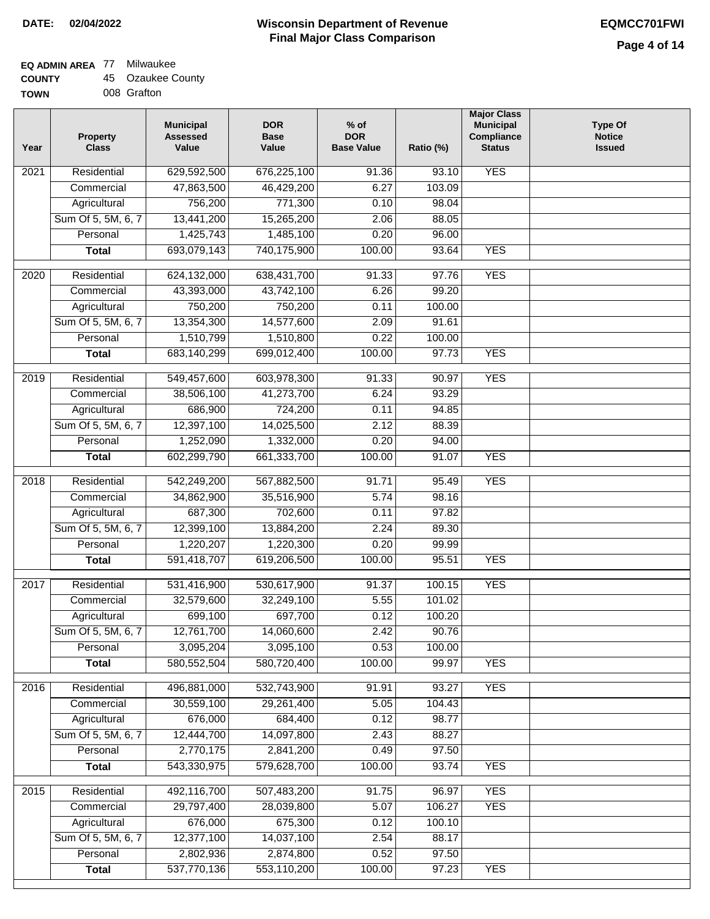### **EQ ADMIN AREA** 77 Milwaukee

| <b>COUNTY</b> |  | 45 Ozaukee County |
|---------------|--|-------------------|
|---------------|--|-------------------|

**TOWN** 008 Grafton

| Year | <b>Property</b><br><b>Class</b> | <b>Municipal</b><br><b>Assessed</b><br>Value | <b>DOR</b><br><b>Base</b><br>Value | $%$ of<br><b>DOR</b><br><b>Base Value</b> | Ratio (%) | <b>Major Class</b><br><b>Municipal</b><br>Compliance<br><b>Status</b> | <b>Type Of</b><br><b>Notice</b><br><b>Issued</b> |
|------|---------------------------------|----------------------------------------------|------------------------------------|-------------------------------------------|-----------|-----------------------------------------------------------------------|--------------------------------------------------|
| 2021 | Residential                     | 629,592,500                                  | 676,225,100                        | 91.36                                     | 93.10     | <b>YES</b>                                                            |                                                  |
|      | Commercial                      | 47,863,500                                   | 46,429,200                         | 6.27                                      | 103.09    |                                                                       |                                                  |
|      | Agricultural                    | 756,200                                      | 771,300                            | 0.10                                      | 98.04     |                                                                       |                                                  |
|      | Sum Of 5, 5M, 6, 7              | 13,441,200                                   | 15,265,200                         | 2.06                                      | 88.05     |                                                                       |                                                  |
|      | Personal                        | 1,425,743                                    | 1,485,100                          | 0.20                                      | 96.00     |                                                                       |                                                  |
|      | <b>Total</b>                    | 693,079,143                                  | 740,175,900                        | 100.00                                    | 93.64     | <b>YES</b>                                                            |                                                  |
| 2020 | Residential                     | 624,132,000                                  | 638,431,700                        | 91.33                                     | 97.76     | <b>YES</b>                                                            |                                                  |
|      | Commercial                      | 43,393,000                                   | 43,742,100                         | 6.26                                      | 99.20     |                                                                       |                                                  |
|      | Agricultural                    | 750,200                                      | 750,200                            | 0.11                                      | 100.00    |                                                                       |                                                  |
|      | Sum Of 5, 5M, 6, 7              | 13,354,300                                   | 14,577,600                         | 2.09                                      | 91.61     |                                                                       |                                                  |
|      | Personal                        | 1,510,799                                    | 1,510,800                          | 0.22                                      | 100.00    |                                                                       |                                                  |
|      | <b>Total</b>                    | 683,140,299                                  | 699,012,400                        | 100.00                                    | 97.73     | <b>YES</b>                                                            |                                                  |
| 2019 | Residential                     | 549,457,600                                  | 603,978,300                        | 91.33                                     | 90.97     | <b>YES</b>                                                            |                                                  |
|      | Commercial                      | 38,506,100                                   | 41,273,700                         | 6.24                                      | 93.29     |                                                                       |                                                  |
|      | Agricultural                    | 686,900                                      | 724,200                            | 0.11                                      | 94.85     |                                                                       |                                                  |
|      | Sum Of 5, 5M, 6, 7              | 12,397,100                                   | 14,025,500                         | 2.12                                      | 88.39     |                                                                       |                                                  |
|      | Personal                        | 1,252,090                                    | 1,332,000                          | 0.20                                      | 94.00     |                                                                       |                                                  |
|      | <b>Total</b>                    | 602,299,790                                  | 661,333,700                        | 100.00                                    | 91.07     | <b>YES</b>                                                            |                                                  |
| 2018 | Residential                     | 542,249,200                                  | 567,882,500                        | 91.71                                     | 95.49     | <b>YES</b>                                                            |                                                  |
|      | Commercial                      | 34,862,900                                   | 35,516,900                         | 5.74                                      | 98.16     |                                                                       |                                                  |
|      | Agricultural                    | 687,300                                      | 702,600                            | 0.11                                      | 97.82     |                                                                       |                                                  |
|      | Sum Of 5, 5M, 6, 7              | 12,399,100                                   | 13,884,200                         | 2.24                                      | 89.30     |                                                                       |                                                  |
|      | Personal                        | 1,220,207                                    | 1,220,300                          | 0.20                                      | 99.99     |                                                                       |                                                  |
|      | <b>Total</b>                    | 591,418,707                                  | 619,206,500                        | 100.00                                    | 95.51     | <b>YES</b>                                                            |                                                  |
|      |                                 |                                              |                                    |                                           |           |                                                                       |                                                  |
| 2017 | Residential                     | 531,416,900                                  | 530,617,900                        | 91.37                                     | 100.15    | <b>YES</b>                                                            |                                                  |
|      | Commercial                      | 32,579,600                                   | 32,249,100                         | 5.55                                      | 101.02    |                                                                       |                                                  |
|      | Agricultural                    | 699,100                                      | 697,700                            | 0.12                                      | 100.20    |                                                                       |                                                  |
|      | Sum Of 5, 5M, 6, 7              | 12,761,700                                   | 14,060,600                         | 2.42                                      | 90.76     |                                                                       |                                                  |
|      | Personal                        | 3,095,204                                    | 3,095,100                          | 0.53                                      | 100.00    |                                                                       |                                                  |
|      | <b>Total</b>                    | 580,552,504                                  | 580,720,400                        | 100.00                                    | 99.97     | <b>YES</b>                                                            |                                                  |
| 2016 | Residential                     | 496,881,000                                  | 532,743,900                        | 91.91                                     | 93.27     | <b>YES</b>                                                            |                                                  |
|      | Commercial                      | 30,559,100                                   | 29,261,400                         | 5.05                                      | 104.43    |                                                                       |                                                  |
|      | Agricultural                    | 676,000                                      | 684,400                            | 0.12                                      | 98.77     |                                                                       |                                                  |
|      | Sum Of 5, 5M, 6, 7              | 12,444,700                                   | 14,097,800                         | 2.43                                      | 88.27     |                                                                       |                                                  |
|      | Personal                        | 2,770,175                                    | 2,841,200                          | 0.49                                      | 97.50     |                                                                       |                                                  |
|      | <b>Total</b>                    | 543,330,975                                  | 579,628,700                        | 100.00                                    | 93.74     | <b>YES</b>                                                            |                                                  |
| 2015 | Residential                     | 492,116,700                                  | 507,483,200                        | 91.75                                     | 96.97     | <b>YES</b>                                                            |                                                  |
|      | Commercial                      | 29,797,400                                   | 28,039,800                         | 5.07                                      | 106.27    | <b>YES</b>                                                            |                                                  |
|      | Agricultural                    | 676,000                                      | 675,300                            | 0.12                                      | 100.10    |                                                                       |                                                  |
|      | Sum Of 5, 5M, 6, 7              | 12,377,100                                   | 14,037,100                         | 2.54                                      | 88.17     |                                                                       |                                                  |
|      | Personal                        | 2,802,936                                    | 2,874,800                          | 0.52                                      | 97.50     |                                                                       |                                                  |
|      | <b>Total</b>                    | 537,770,136                                  | 553,110,200                        | 100.00                                    | 97.23     | <b>YES</b>                                                            |                                                  |
|      |                                 |                                              |                                    |                                           |           |                                                                       |                                                  |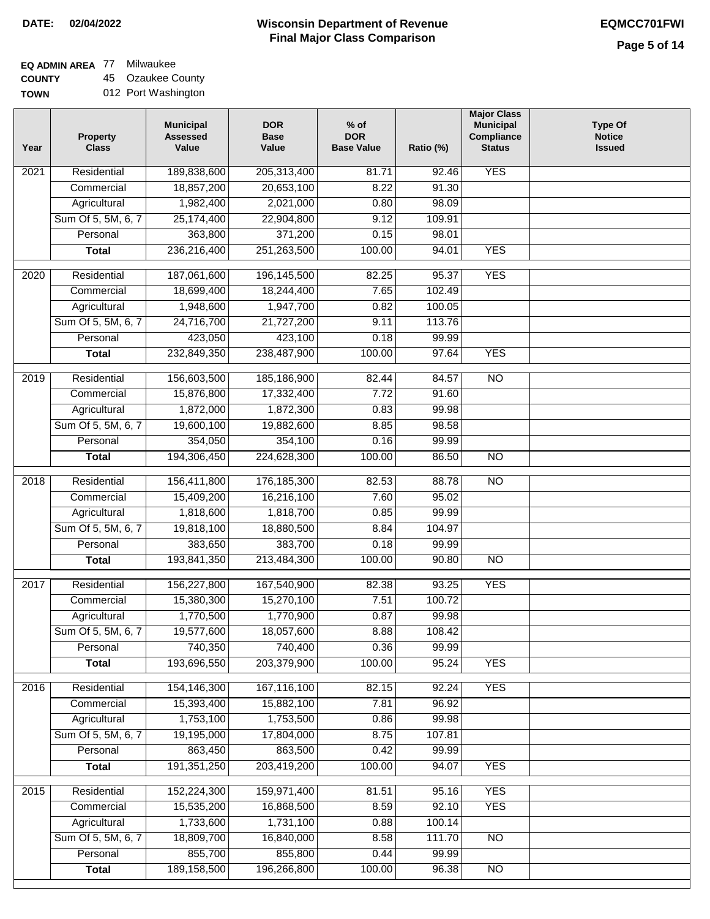$\Box$ 

### **Wisconsin Department of Revenue Final Major Class Comparison DATE: 02/04/2022 EQMCC701FWI**

# **EQ ADMIN AREA** 77 Milwaukee

**COUNTY TOWN** 45 Ozaukee County 012 Port Washington

| Year | <b>Property</b><br><b>Class</b> | <b>Municipal</b><br><b>Assessed</b><br>Value | <b>DOR</b><br><b>Base</b><br>Value | $%$ of<br><b>DOR</b><br><b>Base Value</b> | Ratio (%)      | <b>Major Class</b><br><b>Municipal</b><br>Compliance<br><b>Status</b> | <b>Type Of</b><br><b>Notice</b><br><b>Issued</b> |
|------|---------------------------------|----------------------------------------------|------------------------------------|-------------------------------------------|----------------|-----------------------------------------------------------------------|--------------------------------------------------|
| 2021 | Residential                     | 189,838,600                                  | 205,313,400                        | 81.71                                     | 92.46          | <b>YES</b>                                                            |                                                  |
|      | Commercial                      | 18,857,200                                   | 20,653,100                         | 8.22                                      | 91.30          |                                                                       |                                                  |
|      | Agricultural                    | 1,982,400                                    | 2,021,000                          | 0.80                                      | 98.09          |                                                                       |                                                  |
|      | Sum Of 5, 5M, 6, 7              | 25,174,400                                   | 22,904,800                         | 9.12                                      | 109.91         |                                                                       |                                                  |
|      | Personal                        | 363,800                                      | 371,200                            | 0.15                                      | 98.01          |                                                                       |                                                  |
|      | <b>Total</b>                    | 236,216,400                                  | 251,263,500                        | 100.00                                    | 94.01          | <b>YES</b>                                                            |                                                  |
| 2020 | Residential                     | 187,061,600                                  | 196,145,500                        | 82.25                                     | 95.37          | <b>YES</b>                                                            |                                                  |
|      | Commercial                      | 18,699,400                                   | 18,244,400                         | 7.65                                      | 102.49         |                                                                       |                                                  |
|      | Agricultural                    | 1,948,600                                    | 1,947,700                          | 0.82                                      | 100.05         |                                                                       |                                                  |
|      | Sum Of 5, 5M, 6, 7              | 24,716,700                                   | 21,727,200                         | 9.11                                      | 113.76         |                                                                       |                                                  |
|      | Personal                        | 423,050                                      | 423,100                            | 0.18                                      | 99.99          |                                                                       |                                                  |
|      | <b>Total</b>                    | 232,849,350                                  | 238,487,900                        | 100.00                                    | 97.64          | <b>YES</b>                                                            |                                                  |
| 2019 | Residential                     | 156,603,500                                  | 185,186,900                        | 82.44                                     | 84.57          | $\overline{NO}$                                                       |                                                  |
|      | Commercial                      | 15,876,800                                   | 17,332,400                         | 7.72                                      | 91.60          |                                                                       |                                                  |
|      | Agricultural                    | 1,872,000                                    | 1,872,300                          | 0.83                                      | 99.98          |                                                                       |                                                  |
|      | Sum Of 5, 5M, 6, 7              | 19,600,100                                   | 19,882,600                         | 8.85                                      | 98.58          |                                                                       |                                                  |
|      | Personal                        | 354,050                                      | 354,100                            | 0.16                                      | 99.99          |                                                                       |                                                  |
|      | <b>Total</b>                    | 194,306,450                                  | 224,628,300                        | 100.00                                    | 86.50          | $\overline{NO}$                                                       |                                                  |
|      |                                 |                                              |                                    |                                           |                | $\overline{NO}$                                                       |                                                  |
| 2018 | Residential<br>Commercial       | 156,411,800<br>15,409,200                    | 176, 185, 300<br>16,216,100        | 82.53<br>7.60                             | 88.78<br>95.02 |                                                                       |                                                  |
|      | Agricultural                    | 1,818,600                                    | 1,818,700                          | 0.85                                      | 99.99          |                                                                       |                                                  |
|      | Sum Of 5, 5M, 6, 7              | 19,818,100                                   | 18,880,500                         | 8.84                                      | 104.97         |                                                                       |                                                  |
|      | Personal                        | 383,650                                      | 383,700                            | 0.18                                      | 99.99          |                                                                       |                                                  |
|      | <b>Total</b>                    | 193,841,350                                  | 213,484,300                        | 100.00                                    | 90.80          | $\overline{NO}$                                                       |                                                  |
|      |                                 |                                              |                                    |                                           |                |                                                                       |                                                  |
| 2017 | Residential                     | 156,227,800                                  | 167,540,900                        | 82.38                                     | 93.25          | <b>YES</b>                                                            |                                                  |
|      | Commercial                      | 15,380,300                                   | 15,270,100                         | 7.51                                      | 100.72         |                                                                       |                                                  |
|      | Agricultural                    | 1,770,500                                    | 1,770,900                          | 0.87                                      | 99.98          |                                                                       |                                                  |
|      | Sum Of 5, 5M, 6, 7              | 19,577,600                                   | 18,057,600                         | 8.88                                      | 108.42         |                                                                       |                                                  |
|      | Personal                        | 740,350                                      | 740,400                            | 0.36                                      | 99.99          |                                                                       |                                                  |
|      | <b>Total</b>                    | 193,696,550                                  | 203,379,900                        | 100.00                                    | 95.24          | <b>YES</b>                                                            |                                                  |
| 2016 | Residential                     | 154,146,300                                  | 167,116,100                        | 82.15                                     | 92.24          | <b>YES</b>                                                            |                                                  |
|      | Commercial                      | 15,393,400                                   | 15,882,100                         | 7.81                                      | 96.92          |                                                                       |                                                  |
|      | Agricultural                    | 1,753,100                                    | 1,753,500                          | 0.86                                      | 99.98          |                                                                       |                                                  |
|      | Sum Of 5, 5M, 6, 7              | 19,195,000                                   | 17,804,000                         | 8.75                                      | 107.81         |                                                                       |                                                  |
|      | Personal                        | 863,450                                      | 863,500                            | 0.42                                      | 99.99          |                                                                       |                                                  |
|      | <b>Total</b>                    | 191, 351, 250                                | 203,419,200                        | 100.00                                    | 94.07          | <b>YES</b>                                                            |                                                  |
| 2015 | Residential                     | 152,224,300                                  | 159,971,400                        | 81.51                                     | 95.16          | <b>YES</b>                                                            |                                                  |
|      | Commercial                      | 15,535,200                                   | 16,868,500                         | 8.59                                      | 92.10          | <b>YES</b>                                                            |                                                  |
|      | Agricultural                    | 1,733,600                                    | 1,731,100                          | 0.88                                      | 100.14         |                                                                       |                                                  |
|      | Sum Of 5, 5M, 6, 7              | 18,809,700                                   | 16,840,000                         | 8.58                                      | 111.70         | <b>NO</b>                                                             |                                                  |
|      | Personal                        | 855,700                                      | 855,800                            | 0.44                                      | 99.99          |                                                                       |                                                  |
|      | <b>Total</b>                    | 189, 158, 500                                | 196,266,800                        | 100.00                                    | 96.38          | $\overline{NO}$                                                       |                                                  |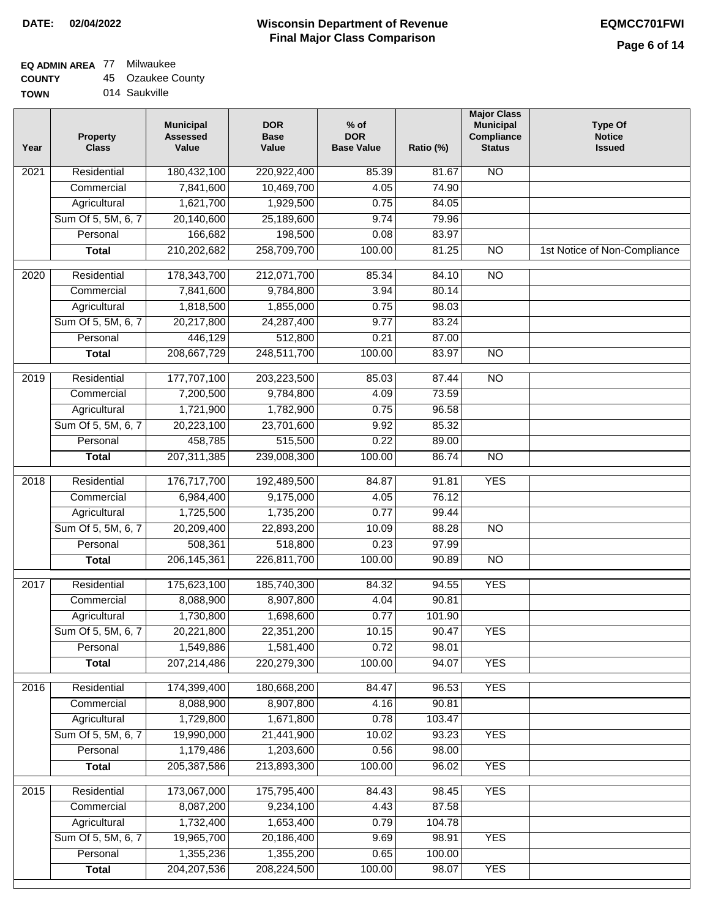### **EQ ADMIN AREA** 77 Milwaukee

| <b>COUNTY</b> |  | 45 Ozaukee County |
|---------------|--|-------------------|
|---------------|--|-------------------|

**TOWN** 014 Saukville

| Year              | <b>Property</b><br><b>Class</b> | <b>Municipal</b><br><b>Assessed</b><br>Value | <b>DOR</b><br><b>Base</b><br>Value | % of<br><b>DOR</b><br><b>Base Value</b> | Ratio (%) | <b>Major Class</b><br><b>Municipal</b><br>Compliance<br><b>Status</b> | <b>Type Of</b><br><b>Notice</b><br><b>Issued</b> |
|-------------------|---------------------------------|----------------------------------------------|------------------------------------|-----------------------------------------|-----------|-----------------------------------------------------------------------|--------------------------------------------------|
| 2021              | Residential                     | 180,432,100                                  | 220,922,400                        | 85.39                                   | 81.67     | <b>NO</b>                                                             |                                                  |
|                   | Commercial                      | 7,841,600                                    | 10,469,700                         | 4.05                                    | 74.90     |                                                                       |                                                  |
|                   | Agricultural                    | 1,621,700                                    | 1,929,500                          | 0.75                                    | 84.05     |                                                                       |                                                  |
|                   | Sum Of 5, 5M, 6, 7              | 20,140,600                                   | 25,189,600                         | 9.74                                    | 79.96     |                                                                       |                                                  |
|                   | Personal                        | 166,682                                      | 198,500                            | 0.08                                    | 83.97     |                                                                       |                                                  |
|                   | <b>Total</b>                    | 210,202,682                                  | 258,709,700                        | 100.00                                  | 81.25     | $\overline{NO}$                                                       | 1st Notice of Non-Compliance                     |
| $\overline{2020}$ | Residential                     | 178,343,700                                  | 212,071,700                        | 85.34                                   | 84.10     | $\overline{3}$                                                        |                                                  |
|                   | Commercial                      | 7,841,600                                    | 9,784,800                          | 3.94                                    | 80.14     |                                                                       |                                                  |
|                   | Agricultural                    | 1,818,500                                    | 1,855,000                          | 0.75                                    | 98.03     |                                                                       |                                                  |
|                   | Sum Of 5, 5M, 6, 7              | 20,217,800                                   | 24,287,400                         | 9.77                                    | 83.24     |                                                                       |                                                  |
|                   | Personal                        | 446,129                                      | 512,800                            | 0.21                                    | 87.00     |                                                                       |                                                  |
|                   | <b>Total</b>                    | 208,667,729                                  | 248,511,700                        | 100.00                                  | 83.97     | $\overline{NO}$                                                       |                                                  |
| 2019              | Residential                     | 177,707,100                                  | 203,223,500                        | 85.03                                   | 87.44     | $\overline{3}$                                                        |                                                  |
|                   | Commercial                      | 7,200,500                                    | 9,784,800                          | 4.09                                    | 73.59     |                                                                       |                                                  |
|                   | Agricultural                    | 1,721,900                                    | 1,782,900                          | 0.75                                    | 96.58     |                                                                       |                                                  |
|                   | Sum Of 5, 5M, 6, 7              | 20,223,100                                   | 23,701,600                         | 9.92                                    | 85.32     |                                                                       |                                                  |
|                   | Personal                        | 458,785                                      | 515,500                            | 0.22                                    | 89.00     |                                                                       |                                                  |
|                   | <b>Total</b>                    | 207, 311, 385                                | 239,008,300                        | 100.00                                  | 86.74     | $\overline{NO}$                                                       |                                                  |
| 2018              | Residential                     | 176,717,700                                  | 192,489,500                        | 84.87                                   | 91.81     | <b>YES</b>                                                            |                                                  |
|                   | Commercial                      | 6,984,400                                    | 9,175,000                          | 4.05                                    | 76.12     |                                                                       |                                                  |
|                   | Agricultural                    | 1,725,500                                    | 1,735,200                          | 0.77                                    | 99.44     |                                                                       |                                                  |
|                   | Sum Of 5, 5M, 6, 7              | 20,209,400                                   | 22,893,200                         | 10.09                                   | 88.28     | $\overline{3}$                                                        |                                                  |
|                   | Personal                        | 508,361                                      | 518,800                            | 0.23                                    | 97.99     |                                                                       |                                                  |
|                   | <b>Total</b>                    | 206, 145, 361                                | 226,811,700                        | 100.00                                  | 90.89     | <b>NO</b>                                                             |                                                  |
| $\overline{20}17$ | Residential                     | 175,623,100                                  | 185,740,300                        | 84.32                                   | 94.55     | <b>YES</b>                                                            |                                                  |
|                   | Commercial                      | 8,088,900                                    | 8,907,800                          | 4.04                                    | 90.81     |                                                                       |                                                  |
|                   | Agricultural                    | 1,730,800                                    | 1,698,600                          | 0.77                                    | 101.90    |                                                                       |                                                  |
|                   | Sum Of 5, 5M, 6, 7              | 20,221,800                                   | 22,351,200                         | 10.15                                   | 90.47     | <b>YES</b>                                                            |                                                  |
|                   | Personal                        | 1,549,886                                    | 1,581,400                          | 0.72                                    | 98.01     |                                                                       |                                                  |
|                   | <b>Total</b>                    | 207,214,486                                  | 220,279,300                        | 100.00                                  | 94.07     | <b>YES</b>                                                            |                                                  |
| 2016              | Residential                     | 174,399,400                                  | 180,668,200                        | 84.47                                   | 96.53     | <b>YES</b>                                                            |                                                  |
|                   | Commercial                      | 8,088,900                                    | 8,907,800                          | 4.16                                    | 90.81     |                                                                       |                                                  |
|                   | Agricultural                    | 1,729,800                                    | 1,671,800                          | 0.78                                    | 103.47    |                                                                       |                                                  |
|                   | Sum Of 5, 5M, 6, 7              | 19,990,000                                   | 21,441,900                         | 10.02                                   | 93.23     | <b>YES</b>                                                            |                                                  |
|                   | Personal                        | 1,179,486                                    | 1,203,600                          | 0.56                                    | 98.00     |                                                                       |                                                  |
|                   | <b>Total</b>                    | 205, 387, 586                                | 213,893,300                        | 100.00                                  | 96.02     | <b>YES</b>                                                            |                                                  |
| 2015              | Residential                     | 173,067,000                                  | 175,795,400                        | 84.43                                   | 98.45     | <b>YES</b>                                                            |                                                  |
|                   | Commercial                      | 8,087,200                                    | 9,234,100                          | 4.43                                    | 87.58     |                                                                       |                                                  |
|                   | Agricultural                    | 1,732,400                                    | 1,653,400                          | 0.79                                    | 104.78    |                                                                       |                                                  |
|                   | Sum Of 5, 5M, 6, 7              | 19,965,700                                   | 20,186,400                         | 9.69                                    | 98.91     | <b>YES</b>                                                            |                                                  |
|                   | Personal                        | 1,355,236                                    | 1,355,200                          | 0.65                                    | 100.00    |                                                                       |                                                  |
|                   | <b>Total</b>                    | 204, 207, 536                                | 208,224,500                        | 100.00                                  | 98.07     | <b>YES</b>                                                            |                                                  |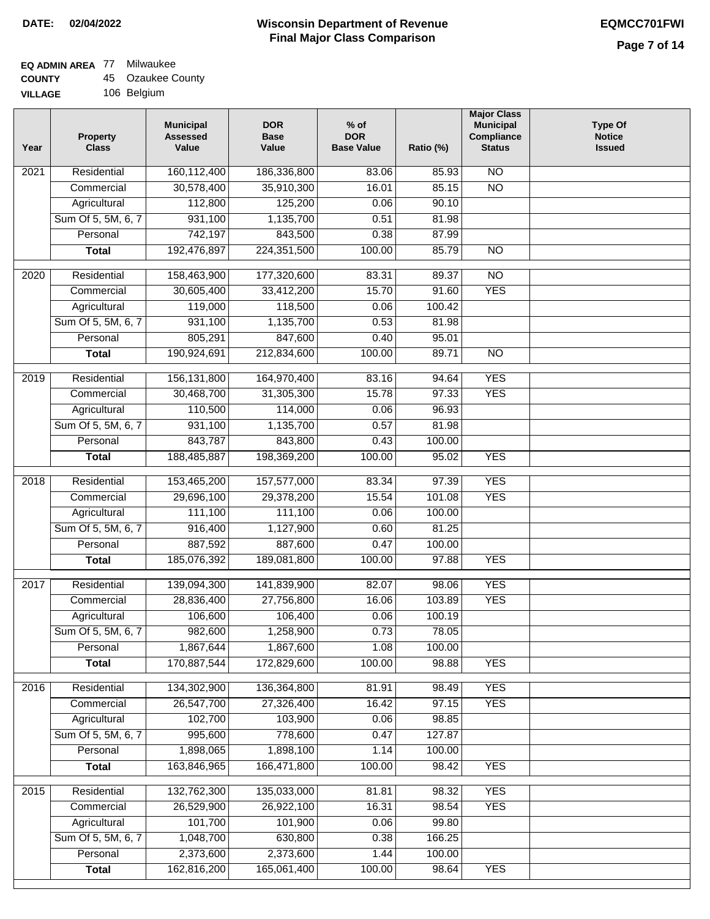# **EQ ADMIN AREA** 77 Milwaukee

| <b>COUNTY</b> |  | 45 Ozaukee County |
|---------------|--|-------------------|
|---------------|--|-------------------|

**VILLAGE** 106 Belgium

| Year              | <b>Property</b><br><b>Class</b> | <b>Municipal</b><br><b>Assessed</b><br>Value | <b>DOR</b><br><b>Base</b><br>Value | $%$ of<br><b>DOR</b><br><b>Base Value</b> | Ratio (%) | <b>Major Class</b><br><b>Municipal</b><br>Compliance<br><b>Status</b> | <b>Type Of</b><br><b>Notice</b><br><b>Issued</b> |
|-------------------|---------------------------------|----------------------------------------------|------------------------------------|-------------------------------------------|-----------|-----------------------------------------------------------------------|--------------------------------------------------|
| 2021              | Residential                     | 160,112,400                                  | 186,336,800                        | 83.06                                     | 85.93     | N <sub>O</sub>                                                        |                                                  |
|                   | Commercial                      | 30,578,400                                   | 35,910,300                         | 16.01                                     | 85.15     | $\overline{NO}$                                                       |                                                  |
|                   | Agricultural                    | 112,800                                      | 125,200                            | 0.06                                      | 90.10     |                                                                       |                                                  |
|                   | Sum Of 5, 5M, 6, 7              | 931,100                                      | 1,135,700                          | 0.51                                      | 81.98     |                                                                       |                                                  |
|                   | Personal                        | 742,197                                      | 843,500                            | 0.38                                      | 87.99     |                                                                       |                                                  |
|                   | <b>Total</b>                    | 192,476,897                                  | 224,351,500                        | 100.00                                    | 85.79     | $\overline{NO}$                                                       |                                                  |
| 2020              | Residential                     | 158,463,900                                  | 177,320,600                        | 83.31                                     | 89.37     | $\overline{NO}$                                                       |                                                  |
|                   | Commercial                      | 30,605,400                                   | 33,412,200                         | 15.70                                     | 91.60     | <b>YES</b>                                                            |                                                  |
|                   | Agricultural                    | 119,000                                      | 118,500                            | 0.06                                      | 100.42    |                                                                       |                                                  |
|                   | Sum Of 5, 5M, 6, 7              | 931,100                                      | 1,135,700                          | 0.53                                      | 81.98     |                                                                       |                                                  |
|                   | Personal                        | 805,291                                      | 847,600                            | 0.40                                      | 95.01     |                                                                       |                                                  |
|                   | <b>Total</b>                    | 190,924,691                                  | 212,834,600                        | 100.00                                    | 89.71     | <b>NO</b>                                                             |                                                  |
|                   |                                 |                                              |                                    |                                           |           |                                                                       |                                                  |
| 2019              | Residential                     | 156, 131, 800                                | 164,970,400                        | 83.16                                     | 94.64     | <b>YES</b>                                                            |                                                  |
|                   | Commercial                      | 30,468,700                                   | 31,305,300                         | 15.78                                     | 97.33     | <b>YES</b>                                                            |                                                  |
|                   | Agricultural                    | 110,500                                      | 114,000                            | 0.06                                      | 96.93     |                                                                       |                                                  |
|                   | Sum Of 5, 5M, 6, 7              | 931,100                                      | 1,135,700                          | 0.57                                      | 81.98     |                                                                       |                                                  |
|                   | Personal                        | 843,787                                      | 843,800                            | 0.43                                      | 100.00    |                                                                       |                                                  |
|                   | <b>Total</b>                    | 188,485,887                                  | 198,369,200                        | 100.00                                    | 95.02     | <b>YES</b>                                                            |                                                  |
| $\overline{2018}$ | Residential                     | 153,465,200                                  | 157,577,000                        | 83.34                                     | 97.39     | <b>YES</b>                                                            |                                                  |
|                   | Commercial                      | 29,696,100                                   | 29,378,200                         | 15.54                                     | 101.08    | <b>YES</b>                                                            |                                                  |
|                   | Agricultural                    | 111,100                                      | 111,100                            | 0.06                                      | 100.00    |                                                                       |                                                  |
|                   | Sum Of 5, 5M, 6, 7              | 916,400                                      | 1,127,900                          | 0.60                                      | 81.25     |                                                                       |                                                  |
|                   | Personal                        | 887,592                                      | 887,600                            | 0.47                                      | 100.00    |                                                                       |                                                  |
|                   | <b>Total</b>                    | 185,076,392                                  | 189,081,800                        | 100.00                                    | 97.88     | <b>YES</b>                                                            |                                                  |
| 2017              | Residential                     | 139,094,300                                  | 141,839,900                        | 82.07                                     | 98.06     | <b>YES</b>                                                            |                                                  |
|                   | Commercial                      | 28,836,400                                   | 27,756,800                         | 16.06                                     | 103.89    | <b>YES</b>                                                            |                                                  |
|                   | Agricultural                    | 106,600                                      | 106,400                            | 0.06                                      | 100.19    |                                                                       |                                                  |
|                   | Sum Of 5, 5M, 6, 7              | 982,600                                      | 1,258,900                          | 0.73                                      | 78.05     |                                                                       |                                                  |
|                   | Personal                        | 1,867,644                                    | 1,867,600                          | 1.08                                      | 100.00    |                                                                       |                                                  |
|                   | <b>Total</b>                    | 170,887,544                                  | 172,829,600                        | 100.00                                    | 98.88     | <b>YES</b>                                                            |                                                  |
| 2016              | Residential                     | 134,302,900                                  | 136,364,800                        | 81.91                                     | 98.49     | <b>YES</b>                                                            |                                                  |
|                   | Commercial                      | 26,547,700                                   | 27,326,400                         | 16.42                                     | 97.15     | <b>YES</b>                                                            |                                                  |
|                   | Agricultural                    | 102,700                                      | 103,900                            | 0.06                                      | 98.85     |                                                                       |                                                  |
|                   | Sum Of 5, 5M, 6, 7              | 995,600                                      | 778,600                            | 0.47                                      | 127.87    |                                                                       |                                                  |
|                   | Personal                        | 1,898,065                                    | 1,898,100                          | 1.14                                      | 100.00    |                                                                       |                                                  |
|                   | <b>Total</b>                    | 163,846,965                                  | 166,471,800                        | 100.00                                    | 98.42     | <b>YES</b>                                                            |                                                  |
|                   |                                 |                                              |                                    |                                           |           |                                                                       |                                                  |
| 2015              | Residential                     | 132,762,300                                  | 135,033,000                        | 81.81                                     | 98.32     | <b>YES</b>                                                            |                                                  |
|                   | Commercial                      | 26,529,900                                   | 26,922,100                         | 16.31                                     | 98.54     | <b>YES</b>                                                            |                                                  |
|                   | Agricultural                    | 101,700                                      | 101,900                            | 0.06                                      | 99.80     |                                                                       |                                                  |
|                   | Sum Of 5, 5M, 6, 7              | 1,048,700                                    | 630,800                            | 0.38                                      | 166.25    |                                                                       |                                                  |
|                   | Personal                        | 2,373,600                                    | 2,373,600                          | 1.44                                      | 100.00    |                                                                       |                                                  |
|                   | <b>Total</b>                    | 162,816,200                                  | 165,061,400                        | 100.00                                    | 98.64     | <b>YES</b>                                                            |                                                  |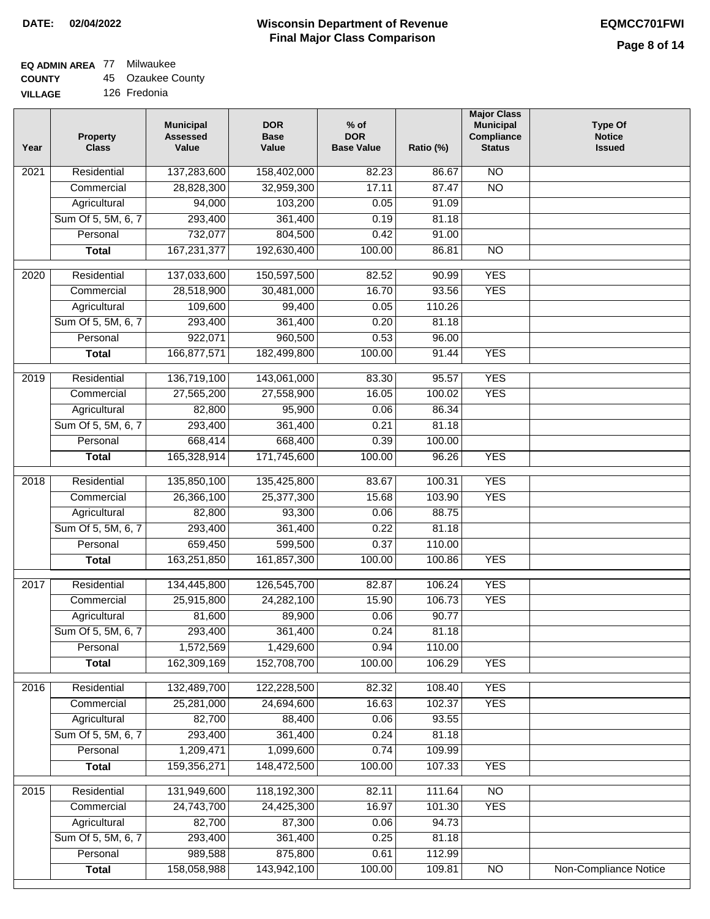## **EQ ADMIN AREA** 77 Milwaukee

**COUNTY** 45 Ozaukee County

**VILLAGE** 126 Fredonia

| Year              | <b>Property</b><br><b>Class</b> | <b>Municipal</b><br><b>Assessed</b><br>Value | <b>DOR</b><br><b>Base</b><br>Value | % of<br><b>DOR</b><br><b>Base Value</b> | Ratio (%) | <b>Major Class</b><br><b>Municipal</b><br>Compliance<br><b>Status</b> | <b>Type Of</b><br><b>Notice</b><br><b>Issued</b> |
|-------------------|---------------------------------|----------------------------------------------|------------------------------------|-----------------------------------------|-----------|-----------------------------------------------------------------------|--------------------------------------------------|
| $\overline{202}1$ | Residential                     | 137,283,600                                  | 158,402,000                        | 82.23                                   | 86.67     | <b>NO</b>                                                             |                                                  |
|                   | Commercial                      | 28,828,300                                   | 32,959,300                         | 17.11                                   | 87.47     | $\overline{NO}$                                                       |                                                  |
|                   | Agricultural                    | 94,000                                       | 103,200                            | 0.05                                    | 91.09     |                                                                       |                                                  |
|                   | Sum Of 5, 5M, 6, 7              | 293,400                                      | 361,400                            | 0.19                                    | 81.18     |                                                                       |                                                  |
|                   | Personal                        | 732,077                                      | 804,500                            | 0.42                                    | 91.00     |                                                                       |                                                  |
|                   | <b>Total</b>                    | 167,231,377                                  | 192,630,400                        | 100.00                                  | 86.81     | $\overline{NO}$                                                       |                                                  |
| $\overline{2020}$ | Residential                     | 137,033,600                                  | 150,597,500                        | 82.52                                   | 90.99     | <b>YES</b>                                                            |                                                  |
|                   | Commercial                      | 28,518,900                                   | 30,481,000                         | 16.70                                   | 93.56     | <b>YES</b>                                                            |                                                  |
|                   | Agricultural                    | 109,600                                      | 99,400                             | 0.05                                    | 110.26    |                                                                       |                                                  |
|                   | Sum Of 5, 5M, 6, 7              | 293,400                                      | 361,400                            | 0.20                                    | 81.18     |                                                                       |                                                  |
|                   | Personal                        | 922,071                                      | 960,500                            | 0.53                                    | 96.00     |                                                                       |                                                  |
|                   | <b>Total</b>                    | 166,877,571                                  | 182,499,800                        | 100.00                                  | 91.44     | <b>YES</b>                                                            |                                                  |
| 2019              | Residential                     | 136,719,100                                  | 143,061,000                        | 83.30                                   | 95.57     | <b>YES</b>                                                            |                                                  |
|                   | Commercial                      | 27,565,200                                   | 27,558,900                         | 16.05                                   | 100.02    | <b>YES</b>                                                            |                                                  |
|                   | Agricultural                    | 82,800                                       | 95,900                             | 0.06                                    | 86.34     |                                                                       |                                                  |
|                   | Sum Of 5, 5M, 6, 7              | 293,400                                      | 361,400                            | 0.21                                    | 81.18     |                                                                       |                                                  |
|                   | Personal                        | 668,414                                      | 668,400                            | 0.39                                    | 100.00    |                                                                       |                                                  |
|                   | <b>Total</b>                    | 165,328,914                                  | 171,745,600                        | 100.00                                  | 96.26     | <b>YES</b>                                                            |                                                  |
| 2018              | Residential                     | 135,850,100                                  | 135,425,800                        | 83.67                                   | 100.31    | <b>YES</b>                                                            |                                                  |
|                   | Commercial                      | 26,366,100                                   | 25,377,300                         | 15.68                                   | 103.90    | <b>YES</b>                                                            |                                                  |
|                   | Agricultural                    | 82,800                                       | 93,300                             | 0.06                                    | 88.75     |                                                                       |                                                  |
|                   | Sum Of 5, 5M, 6, 7              | 293,400                                      | 361,400                            | 0.22                                    | 81.18     |                                                                       |                                                  |
|                   | Personal                        | 659,450                                      | 599,500                            | 0.37                                    | 110.00    |                                                                       |                                                  |
|                   | <b>Total</b>                    | 163,251,850                                  | 161,857,300                        | 100.00                                  | 100.86    | <b>YES</b>                                                            |                                                  |
| $\overline{2017}$ | Residential                     |                                              | 126,545,700                        |                                         | 106.24    | <b>YES</b>                                                            |                                                  |
|                   | Commercial                      | 134,445,800<br>25,915,800                    | 24,282,100                         | 82.87<br>15.90                          | 106.73    | <b>YES</b>                                                            |                                                  |
|                   | Agricultural                    | 81,600                                       | 89,900                             | 0.06                                    | 90.77     |                                                                       |                                                  |
|                   | Sum Of 5, 5M, 6, 7              | 293,400                                      | 361,400                            | 0.24                                    | 81.18     |                                                                       |                                                  |
|                   | Personal                        | 1,572,569                                    | 1,429,600                          | 0.94                                    | 110.00    |                                                                       |                                                  |
|                   | <b>Total</b>                    | 162,309,169                                  | 152,708,700                        | 100.00                                  | 106.29    | <b>YES</b>                                                            |                                                  |
|                   |                                 |                                              |                                    |                                         |           |                                                                       |                                                  |
| 2016              | Residential                     | 132,489,700                                  | 122,228,500                        | 82.32                                   | 108.40    | <b>YES</b>                                                            |                                                  |
|                   | Commercial                      | 25,281,000                                   | 24,694,600                         | 16.63                                   | 102.37    | <b>YES</b>                                                            |                                                  |
|                   | Agricultural                    | 82,700                                       | 88,400                             | 0.06                                    | 93.55     |                                                                       |                                                  |
|                   | Sum Of 5, 5M, 6, 7              | 293,400                                      | 361,400                            | 0.24                                    | 81.18     |                                                                       |                                                  |
|                   | Personal                        | 1,209,471                                    | 1,099,600                          | 0.74                                    | 109.99    |                                                                       |                                                  |
|                   | <b>Total</b>                    | 159,356,271                                  | 148,472,500                        | 100.00                                  | 107.33    | <b>YES</b>                                                            |                                                  |
| 2015              | Residential                     | 131,949,600                                  | 118,192,300                        | 82.11                                   | 111.64    | <b>NO</b>                                                             |                                                  |
|                   | Commercial                      | 24,743,700                                   | 24,425,300                         | 16.97                                   | 101.30    | <b>YES</b>                                                            |                                                  |
|                   | Agricultural                    | 82,700                                       | 87,300                             | 0.06                                    | 94.73     |                                                                       |                                                  |
|                   | Sum Of 5, 5M, 6, 7              | 293,400                                      | 361,400                            | 0.25                                    | 81.18     |                                                                       |                                                  |
|                   | Personal                        | 989,588                                      | 875,800                            | 0.61                                    | 112.99    |                                                                       |                                                  |
|                   | <b>Total</b>                    | 158,058,988                                  | 143,942,100                        | 100.00                                  | 109.81    | N <sub>O</sub>                                                        | <b>Non-Compliance Notice</b>                     |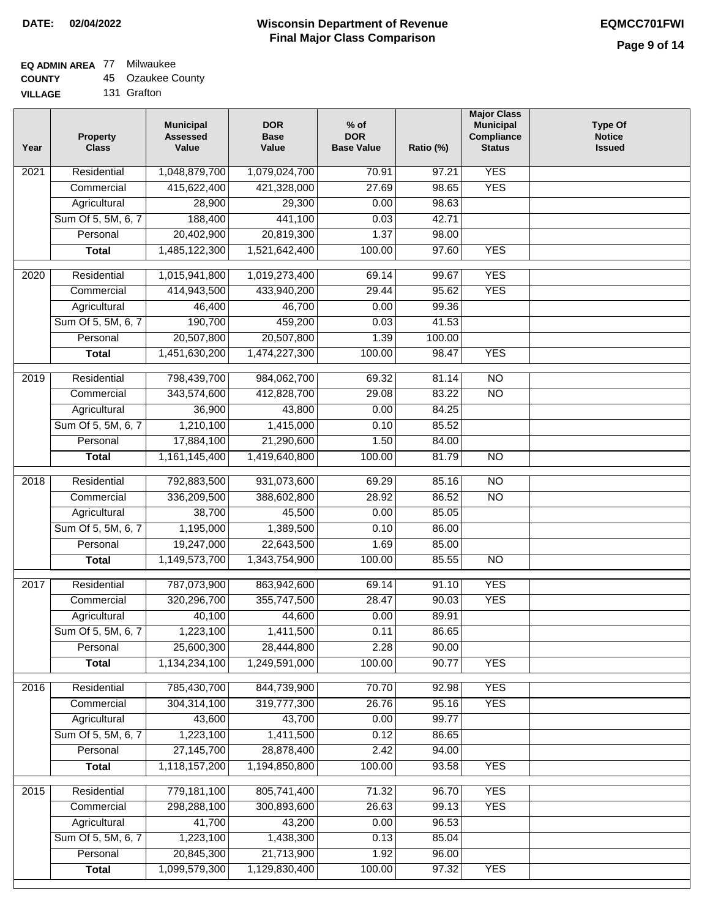### **EQ ADMIN AREA** 77 Milwaukee

**COUNTY** 45 Ozaukee County

**VILLAGE** 131 Grafton

| <b>YES</b><br>Residential<br>$\overline{202}1$<br>1,048,879,700<br>1,079,024,700<br>70.91<br>97.21<br>415,622,400<br>421,328,000<br>27.69<br>98.65<br><b>YES</b><br>Commercial<br>Agricultural<br>28,900<br>29,300<br>0.00<br>98.63<br>Sum Of 5, 5M, 6, 7<br>441,100<br>188,400<br>0.03<br>42.71<br>20,402,900<br>20,819,300<br>1.37<br>Personal<br>98.00<br>1,485,122,300<br>1,521,642,400<br>97.60<br><b>Total</b><br>100.00<br><b>YES</b><br><b>YES</b><br>$\overline{2020}$<br>Residential<br>1,015,941,800<br>1,019,273,400<br>69.14<br>99.67<br>95.62<br><b>YES</b><br>414,943,500<br>433,940,200<br>29.44<br>Commercial<br>46,700<br>0.00<br>46,400<br>99.36<br>Agricultural<br>Sum Of 5, 5M, 6, 7<br>190,700<br>459,200<br>0.03<br>41.53<br>20,507,800<br>20,507,800<br>Personal<br>1.39<br>100.00<br><b>YES</b><br>1,451,630,200<br>1,474,227,300<br>100.00<br><b>Total</b><br>98.47<br>2019<br>Residential<br>798,439,700<br>984,062,700<br>69.32<br>81.14<br>$\overline{10}$<br>$\overline{NO}$<br>343,574,600<br>412,828,700<br>29.08<br>83.22<br>Commercial<br>36,900<br>43,800<br>0.00<br>84.25<br>Agricultural<br>Sum Of 5, 5M, 6, 7<br>1,210,100<br>1,415,000<br>0.10<br>85.52<br>Personal<br>17,884,100<br>21,290,600<br>1.50<br>84.00<br>1,419,640,800<br>100.00<br>81.79<br>$\overline{NO}$<br><b>Total</b><br>1,161,145,400<br>Residential<br>792,883,500<br>931,073,600<br>69.29<br>$\overline{NO}$<br>2018<br>85.16<br><b>NO</b><br>Commercial<br>336,209,500<br>388,602,800<br>28.92<br>86.52<br>38,700<br>45,500<br>85.05<br>Agricultural<br>0.00<br>1,195,000<br>Sum Of 5, 5M, 6, 7<br>1,389,500<br>86.00<br>0.10<br>Personal<br>19,247,000<br>22,643,500<br>1.69<br>85.00<br>1,149,573,700<br>1,343,754,900<br>100.00<br><b>NO</b><br><b>Total</b><br>85.55<br>$\overline{2017}$<br>Residential<br>787,073,900<br>863,942,600<br>91.10<br><b>YES</b><br>69.14<br><b>YES</b><br>Commercial<br>320,296,700<br>355,747,500<br>28.47<br>90.03<br>89.91<br>40,100<br>44,600<br>0.00<br>Agricultural<br>1,223,100<br>Sum Of 5, 5M, 6, 7<br>1,411,500<br>0.11<br>86.65<br>2.28<br>Personal<br>25,600,300<br>28,444,800<br>90.00<br>1,134,234,100<br>1,249,591,000<br>100.00<br>90.77<br><b>YES</b><br><b>Total</b><br><b>YES</b><br>Residential<br>785,430,700<br>844,739,900<br>70.70<br>2016<br>92.98<br>304,314,100<br>319,777,300<br>26.76<br>95.16<br><b>YES</b><br>Commercial<br>Agricultural<br>43,600<br>43,700<br>0.00<br>99.77<br>Sum Of 5, 5M, 6, 7<br>1,411,500<br>0.12<br>1,223,100<br>86.65<br>Personal<br>27,145,700<br>28,878,400<br>2.42<br>94.00<br>1,118,157,200<br>1,194,850,800<br>100.00<br>93.58<br><b>YES</b><br><b>Total</b><br><b>YES</b><br>Residential<br>779,181,100<br>805,741,400<br>71.32<br>96.70<br>2015<br>26.63<br>298,288,100<br>300,893,600<br>99.13<br><b>YES</b><br>Commercial<br>41,700<br>43,200<br>0.00<br>96.53<br>Agricultural<br>Sum Of 5, 5M, 6, 7<br>1,438,300<br>85.04<br>1,223,100<br>0.13<br>21,713,900<br>Personal<br>20,845,300<br>1.92<br>96.00<br>1,099,579,300<br>1,129,830,400<br>100.00<br><b>YES</b><br><b>Total</b><br>97.32 | Year | <b>Property</b><br><b>Class</b> | <b>Municipal</b><br><b>Assessed</b><br>Value | <b>DOR</b><br><b>Base</b><br>Value | $%$ of<br><b>DOR</b><br><b>Base Value</b> | Ratio (%) | <b>Major Class</b><br><b>Municipal</b><br>Compliance<br><b>Status</b> | <b>Type Of</b><br><b>Notice</b><br><b>Issued</b> |
|-------------------------------------------------------------------------------------------------------------------------------------------------------------------------------------------------------------------------------------------------------------------------------------------------------------------------------------------------------------------------------------------------------------------------------------------------------------------------------------------------------------------------------------------------------------------------------------------------------------------------------------------------------------------------------------------------------------------------------------------------------------------------------------------------------------------------------------------------------------------------------------------------------------------------------------------------------------------------------------------------------------------------------------------------------------------------------------------------------------------------------------------------------------------------------------------------------------------------------------------------------------------------------------------------------------------------------------------------------------------------------------------------------------------------------------------------------------------------------------------------------------------------------------------------------------------------------------------------------------------------------------------------------------------------------------------------------------------------------------------------------------------------------------------------------------------------------------------------------------------------------------------------------------------------------------------------------------------------------------------------------------------------------------------------------------------------------------------------------------------------------------------------------------------------------------------------------------------------------------------------------------------------------------------------------------------------------------------------------------------------------------------------------------------------------------------------------------------------------------------------------------------------------------------------------------------------------------------------------------------------------------------------------------------------------------------------------------------------------------------------------------------------------------------------------------------------------------------------------------------------------------------------------------------------------------------------------------------------------------------------------------------------------------------------------------------------------------------------------------|------|---------------------------------|----------------------------------------------|------------------------------------|-------------------------------------------|-----------|-----------------------------------------------------------------------|--------------------------------------------------|
|                                                                                                                                                                                                                                                                                                                                                                                                                                                                                                                                                                                                                                                                                                                                                                                                                                                                                                                                                                                                                                                                                                                                                                                                                                                                                                                                                                                                                                                                                                                                                                                                                                                                                                                                                                                                                                                                                                                                                                                                                                                                                                                                                                                                                                                                                                                                                                                                                                                                                                                                                                                                                                                                                                                                                                                                                                                                                                                                                                                                                                                                                                             |      |                                 |                                              |                                    |                                           |           |                                                                       |                                                  |
|                                                                                                                                                                                                                                                                                                                                                                                                                                                                                                                                                                                                                                                                                                                                                                                                                                                                                                                                                                                                                                                                                                                                                                                                                                                                                                                                                                                                                                                                                                                                                                                                                                                                                                                                                                                                                                                                                                                                                                                                                                                                                                                                                                                                                                                                                                                                                                                                                                                                                                                                                                                                                                                                                                                                                                                                                                                                                                                                                                                                                                                                                                             |      |                                 |                                              |                                    |                                           |           |                                                                       |                                                  |
|                                                                                                                                                                                                                                                                                                                                                                                                                                                                                                                                                                                                                                                                                                                                                                                                                                                                                                                                                                                                                                                                                                                                                                                                                                                                                                                                                                                                                                                                                                                                                                                                                                                                                                                                                                                                                                                                                                                                                                                                                                                                                                                                                                                                                                                                                                                                                                                                                                                                                                                                                                                                                                                                                                                                                                                                                                                                                                                                                                                                                                                                                                             |      |                                 |                                              |                                    |                                           |           |                                                                       |                                                  |
|                                                                                                                                                                                                                                                                                                                                                                                                                                                                                                                                                                                                                                                                                                                                                                                                                                                                                                                                                                                                                                                                                                                                                                                                                                                                                                                                                                                                                                                                                                                                                                                                                                                                                                                                                                                                                                                                                                                                                                                                                                                                                                                                                                                                                                                                                                                                                                                                                                                                                                                                                                                                                                                                                                                                                                                                                                                                                                                                                                                                                                                                                                             |      |                                 |                                              |                                    |                                           |           |                                                                       |                                                  |
|                                                                                                                                                                                                                                                                                                                                                                                                                                                                                                                                                                                                                                                                                                                                                                                                                                                                                                                                                                                                                                                                                                                                                                                                                                                                                                                                                                                                                                                                                                                                                                                                                                                                                                                                                                                                                                                                                                                                                                                                                                                                                                                                                                                                                                                                                                                                                                                                                                                                                                                                                                                                                                                                                                                                                                                                                                                                                                                                                                                                                                                                                                             |      |                                 |                                              |                                    |                                           |           |                                                                       |                                                  |
|                                                                                                                                                                                                                                                                                                                                                                                                                                                                                                                                                                                                                                                                                                                                                                                                                                                                                                                                                                                                                                                                                                                                                                                                                                                                                                                                                                                                                                                                                                                                                                                                                                                                                                                                                                                                                                                                                                                                                                                                                                                                                                                                                                                                                                                                                                                                                                                                                                                                                                                                                                                                                                                                                                                                                                                                                                                                                                                                                                                                                                                                                                             |      |                                 |                                              |                                    |                                           |           |                                                                       |                                                  |
|                                                                                                                                                                                                                                                                                                                                                                                                                                                                                                                                                                                                                                                                                                                                                                                                                                                                                                                                                                                                                                                                                                                                                                                                                                                                                                                                                                                                                                                                                                                                                                                                                                                                                                                                                                                                                                                                                                                                                                                                                                                                                                                                                                                                                                                                                                                                                                                                                                                                                                                                                                                                                                                                                                                                                                                                                                                                                                                                                                                                                                                                                                             |      |                                 |                                              |                                    |                                           |           |                                                                       |                                                  |
|                                                                                                                                                                                                                                                                                                                                                                                                                                                                                                                                                                                                                                                                                                                                                                                                                                                                                                                                                                                                                                                                                                                                                                                                                                                                                                                                                                                                                                                                                                                                                                                                                                                                                                                                                                                                                                                                                                                                                                                                                                                                                                                                                                                                                                                                                                                                                                                                                                                                                                                                                                                                                                                                                                                                                                                                                                                                                                                                                                                                                                                                                                             |      |                                 |                                              |                                    |                                           |           |                                                                       |                                                  |
|                                                                                                                                                                                                                                                                                                                                                                                                                                                                                                                                                                                                                                                                                                                                                                                                                                                                                                                                                                                                                                                                                                                                                                                                                                                                                                                                                                                                                                                                                                                                                                                                                                                                                                                                                                                                                                                                                                                                                                                                                                                                                                                                                                                                                                                                                                                                                                                                                                                                                                                                                                                                                                                                                                                                                                                                                                                                                                                                                                                                                                                                                                             |      |                                 |                                              |                                    |                                           |           |                                                                       |                                                  |
|                                                                                                                                                                                                                                                                                                                                                                                                                                                                                                                                                                                                                                                                                                                                                                                                                                                                                                                                                                                                                                                                                                                                                                                                                                                                                                                                                                                                                                                                                                                                                                                                                                                                                                                                                                                                                                                                                                                                                                                                                                                                                                                                                                                                                                                                                                                                                                                                                                                                                                                                                                                                                                                                                                                                                                                                                                                                                                                                                                                                                                                                                                             |      |                                 |                                              |                                    |                                           |           |                                                                       |                                                  |
|                                                                                                                                                                                                                                                                                                                                                                                                                                                                                                                                                                                                                                                                                                                                                                                                                                                                                                                                                                                                                                                                                                                                                                                                                                                                                                                                                                                                                                                                                                                                                                                                                                                                                                                                                                                                                                                                                                                                                                                                                                                                                                                                                                                                                                                                                                                                                                                                                                                                                                                                                                                                                                                                                                                                                                                                                                                                                                                                                                                                                                                                                                             |      |                                 |                                              |                                    |                                           |           |                                                                       |                                                  |
|                                                                                                                                                                                                                                                                                                                                                                                                                                                                                                                                                                                                                                                                                                                                                                                                                                                                                                                                                                                                                                                                                                                                                                                                                                                                                                                                                                                                                                                                                                                                                                                                                                                                                                                                                                                                                                                                                                                                                                                                                                                                                                                                                                                                                                                                                                                                                                                                                                                                                                                                                                                                                                                                                                                                                                                                                                                                                                                                                                                                                                                                                                             |      |                                 |                                              |                                    |                                           |           |                                                                       |                                                  |
|                                                                                                                                                                                                                                                                                                                                                                                                                                                                                                                                                                                                                                                                                                                                                                                                                                                                                                                                                                                                                                                                                                                                                                                                                                                                                                                                                                                                                                                                                                                                                                                                                                                                                                                                                                                                                                                                                                                                                                                                                                                                                                                                                                                                                                                                                                                                                                                                                                                                                                                                                                                                                                                                                                                                                                                                                                                                                                                                                                                                                                                                                                             |      |                                 |                                              |                                    |                                           |           |                                                                       |                                                  |
|                                                                                                                                                                                                                                                                                                                                                                                                                                                                                                                                                                                                                                                                                                                                                                                                                                                                                                                                                                                                                                                                                                                                                                                                                                                                                                                                                                                                                                                                                                                                                                                                                                                                                                                                                                                                                                                                                                                                                                                                                                                                                                                                                                                                                                                                                                                                                                                                                                                                                                                                                                                                                                                                                                                                                                                                                                                                                                                                                                                                                                                                                                             |      |                                 |                                              |                                    |                                           |           |                                                                       |                                                  |
|                                                                                                                                                                                                                                                                                                                                                                                                                                                                                                                                                                                                                                                                                                                                                                                                                                                                                                                                                                                                                                                                                                                                                                                                                                                                                                                                                                                                                                                                                                                                                                                                                                                                                                                                                                                                                                                                                                                                                                                                                                                                                                                                                                                                                                                                                                                                                                                                                                                                                                                                                                                                                                                                                                                                                                                                                                                                                                                                                                                                                                                                                                             |      |                                 |                                              |                                    |                                           |           |                                                                       |                                                  |
|                                                                                                                                                                                                                                                                                                                                                                                                                                                                                                                                                                                                                                                                                                                                                                                                                                                                                                                                                                                                                                                                                                                                                                                                                                                                                                                                                                                                                                                                                                                                                                                                                                                                                                                                                                                                                                                                                                                                                                                                                                                                                                                                                                                                                                                                                                                                                                                                                                                                                                                                                                                                                                                                                                                                                                                                                                                                                                                                                                                                                                                                                                             |      |                                 |                                              |                                    |                                           |           |                                                                       |                                                  |
|                                                                                                                                                                                                                                                                                                                                                                                                                                                                                                                                                                                                                                                                                                                                                                                                                                                                                                                                                                                                                                                                                                                                                                                                                                                                                                                                                                                                                                                                                                                                                                                                                                                                                                                                                                                                                                                                                                                                                                                                                                                                                                                                                                                                                                                                                                                                                                                                                                                                                                                                                                                                                                                                                                                                                                                                                                                                                                                                                                                                                                                                                                             |      |                                 |                                              |                                    |                                           |           |                                                                       |                                                  |
|                                                                                                                                                                                                                                                                                                                                                                                                                                                                                                                                                                                                                                                                                                                                                                                                                                                                                                                                                                                                                                                                                                                                                                                                                                                                                                                                                                                                                                                                                                                                                                                                                                                                                                                                                                                                                                                                                                                                                                                                                                                                                                                                                                                                                                                                                                                                                                                                                                                                                                                                                                                                                                                                                                                                                                                                                                                                                                                                                                                                                                                                                                             |      |                                 |                                              |                                    |                                           |           |                                                                       |                                                  |
|                                                                                                                                                                                                                                                                                                                                                                                                                                                                                                                                                                                                                                                                                                                                                                                                                                                                                                                                                                                                                                                                                                                                                                                                                                                                                                                                                                                                                                                                                                                                                                                                                                                                                                                                                                                                                                                                                                                                                                                                                                                                                                                                                                                                                                                                                                                                                                                                                                                                                                                                                                                                                                                                                                                                                                                                                                                                                                                                                                                                                                                                                                             |      |                                 |                                              |                                    |                                           |           |                                                                       |                                                  |
|                                                                                                                                                                                                                                                                                                                                                                                                                                                                                                                                                                                                                                                                                                                                                                                                                                                                                                                                                                                                                                                                                                                                                                                                                                                                                                                                                                                                                                                                                                                                                                                                                                                                                                                                                                                                                                                                                                                                                                                                                                                                                                                                                                                                                                                                                                                                                                                                                                                                                                                                                                                                                                                                                                                                                                                                                                                                                                                                                                                                                                                                                                             |      |                                 |                                              |                                    |                                           |           |                                                                       |                                                  |
|                                                                                                                                                                                                                                                                                                                                                                                                                                                                                                                                                                                                                                                                                                                                                                                                                                                                                                                                                                                                                                                                                                                                                                                                                                                                                                                                                                                                                                                                                                                                                                                                                                                                                                                                                                                                                                                                                                                                                                                                                                                                                                                                                                                                                                                                                                                                                                                                                                                                                                                                                                                                                                                                                                                                                                                                                                                                                                                                                                                                                                                                                                             |      |                                 |                                              |                                    |                                           |           |                                                                       |                                                  |
|                                                                                                                                                                                                                                                                                                                                                                                                                                                                                                                                                                                                                                                                                                                                                                                                                                                                                                                                                                                                                                                                                                                                                                                                                                                                                                                                                                                                                                                                                                                                                                                                                                                                                                                                                                                                                                                                                                                                                                                                                                                                                                                                                                                                                                                                                                                                                                                                                                                                                                                                                                                                                                                                                                                                                                                                                                                                                                                                                                                                                                                                                                             |      |                                 |                                              |                                    |                                           |           |                                                                       |                                                  |
|                                                                                                                                                                                                                                                                                                                                                                                                                                                                                                                                                                                                                                                                                                                                                                                                                                                                                                                                                                                                                                                                                                                                                                                                                                                                                                                                                                                                                                                                                                                                                                                                                                                                                                                                                                                                                                                                                                                                                                                                                                                                                                                                                                                                                                                                                                                                                                                                                                                                                                                                                                                                                                                                                                                                                                                                                                                                                                                                                                                                                                                                                                             |      |                                 |                                              |                                    |                                           |           |                                                                       |                                                  |
|                                                                                                                                                                                                                                                                                                                                                                                                                                                                                                                                                                                                                                                                                                                                                                                                                                                                                                                                                                                                                                                                                                                                                                                                                                                                                                                                                                                                                                                                                                                                                                                                                                                                                                                                                                                                                                                                                                                                                                                                                                                                                                                                                                                                                                                                                                                                                                                                                                                                                                                                                                                                                                                                                                                                                                                                                                                                                                                                                                                                                                                                                                             |      |                                 |                                              |                                    |                                           |           |                                                                       |                                                  |
|                                                                                                                                                                                                                                                                                                                                                                                                                                                                                                                                                                                                                                                                                                                                                                                                                                                                                                                                                                                                                                                                                                                                                                                                                                                                                                                                                                                                                                                                                                                                                                                                                                                                                                                                                                                                                                                                                                                                                                                                                                                                                                                                                                                                                                                                                                                                                                                                                                                                                                                                                                                                                                                                                                                                                                                                                                                                                                                                                                                                                                                                                                             |      |                                 |                                              |                                    |                                           |           |                                                                       |                                                  |
|                                                                                                                                                                                                                                                                                                                                                                                                                                                                                                                                                                                                                                                                                                                                                                                                                                                                                                                                                                                                                                                                                                                                                                                                                                                                                                                                                                                                                                                                                                                                                                                                                                                                                                                                                                                                                                                                                                                                                                                                                                                                                                                                                                                                                                                                                                                                                                                                                                                                                                                                                                                                                                                                                                                                                                                                                                                                                                                                                                                                                                                                                                             |      |                                 |                                              |                                    |                                           |           |                                                                       |                                                  |
|                                                                                                                                                                                                                                                                                                                                                                                                                                                                                                                                                                                                                                                                                                                                                                                                                                                                                                                                                                                                                                                                                                                                                                                                                                                                                                                                                                                                                                                                                                                                                                                                                                                                                                                                                                                                                                                                                                                                                                                                                                                                                                                                                                                                                                                                                                                                                                                                                                                                                                                                                                                                                                                                                                                                                                                                                                                                                                                                                                                                                                                                                                             |      |                                 |                                              |                                    |                                           |           |                                                                       |                                                  |
|                                                                                                                                                                                                                                                                                                                                                                                                                                                                                                                                                                                                                                                                                                                                                                                                                                                                                                                                                                                                                                                                                                                                                                                                                                                                                                                                                                                                                                                                                                                                                                                                                                                                                                                                                                                                                                                                                                                                                                                                                                                                                                                                                                                                                                                                                                                                                                                                                                                                                                                                                                                                                                                                                                                                                                                                                                                                                                                                                                                                                                                                                                             |      |                                 |                                              |                                    |                                           |           |                                                                       |                                                  |
|                                                                                                                                                                                                                                                                                                                                                                                                                                                                                                                                                                                                                                                                                                                                                                                                                                                                                                                                                                                                                                                                                                                                                                                                                                                                                                                                                                                                                                                                                                                                                                                                                                                                                                                                                                                                                                                                                                                                                                                                                                                                                                                                                                                                                                                                                                                                                                                                                                                                                                                                                                                                                                                                                                                                                                                                                                                                                                                                                                                                                                                                                                             |      |                                 |                                              |                                    |                                           |           |                                                                       |                                                  |
|                                                                                                                                                                                                                                                                                                                                                                                                                                                                                                                                                                                                                                                                                                                                                                                                                                                                                                                                                                                                                                                                                                                                                                                                                                                                                                                                                                                                                                                                                                                                                                                                                                                                                                                                                                                                                                                                                                                                                                                                                                                                                                                                                                                                                                                                                                                                                                                                                                                                                                                                                                                                                                                                                                                                                                                                                                                                                                                                                                                                                                                                                                             |      |                                 |                                              |                                    |                                           |           |                                                                       |                                                  |
|                                                                                                                                                                                                                                                                                                                                                                                                                                                                                                                                                                                                                                                                                                                                                                                                                                                                                                                                                                                                                                                                                                                                                                                                                                                                                                                                                                                                                                                                                                                                                                                                                                                                                                                                                                                                                                                                                                                                                                                                                                                                                                                                                                                                                                                                                                                                                                                                                                                                                                                                                                                                                                                                                                                                                                                                                                                                                                                                                                                                                                                                                                             |      |                                 |                                              |                                    |                                           |           |                                                                       |                                                  |
|                                                                                                                                                                                                                                                                                                                                                                                                                                                                                                                                                                                                                                                                                                                                                                                                                                                                                                                                                                                                                                                                                                                                                                                                                                                                                                                                                                                                                                                                                                                                                                                                                                                                                                                                                                                                                                                                                                                                                                                                                                                                                                                                                                                                                                                                                                                                                                                                                                                                                                                                                                                                                                                                                                                                                                                                                                                                                                                                                                                                                                                                                                             |      |                                 |                                              |                                    |                                           |           |                                                                       |                                                  |
|                                                                                                                                                                                                                                                                                                                                                                                                                                                                                                                                                                                                                                                                                                                                                                                                                                                                                                                                                                                                                                                                                                                                                                                                                                                                                                                                                                                                                                                                                                                                                                                                                                                                                                                                                                                                                                                                                                                                                                                                                                                                                                                                                                                                                                                                                                                                                                                                                                                                                                                                                                                                                                                                                                                                                                                                                                                                                                                                                                                                                                                                                                             |      |                                 |                                              |                                    |                                           |           |                                                                       |                                                  |
|                                                                                                                                                                                                                                                                                                                                                                                                                                                                                                                                                                                                                                                                                                                                                                                                                                                                                                                                                                                                                                                                                                                                                                                                                                                                                                                                                                                                                                                                                                                                                                                                                                                                                                                                                                                                                                                                                                                                                                                                                                                                                                                                                                                                                                                                                                                                                                                                                                                                                                                                                                                                                                                                                                                                                                                                                                                                                                                                                                                                                                                                                                             |      |                                 |                                              |                                    |                                           |           |                                                                       |                                                  |
|                                                                                                                                                                                                                                                                                                                                                                                                                                                                                                                                                                                                                                                                                                                                                                                                                                                                                                                                                                                                                                                                                                                                                                                                                                                                                                                                                                                                                                                                                                                                                                                                                                                                                                                                                                                                                                                                                                                                                                                                                                                                                                                                                                                                                                                                                                                                                                                                                                                                                                                                                                                                                                                                                                                                                                                                                                                                                                                                                                                                                                                                                                             |      |                                 |                                              |                                    |                                           |           |                                                                       |                                                  |
|                                                                                                                                                                                                                                                                                                                                                                                                                                                                                                                                                                                                                                                                                                                                                                                                                                                                                                                                                                                                                                                                                                                                                                                                                                                                                                                                                                                                                                                                                                                                                                                                                                                                                                                                                                                                                                                                                                                                                                                                                                                                                                                                                                                                                                                                                                                                                                                                                                                                                                                                                                                                                                                                                                                                                                                                                                                                                                                                                                                                                                                                                                             |      |                                 |                                              |                                    |                                           |           |                                                                       |                                                  |
|                                                                                                                                                                                                                                                                                                                                                                                                                                                                                                                                                                                                                                                                                                                                                                                                                                                                                                                                                                                                                                                                                                                                                                                                                                                                                                                                                                                                                                                                                                                                                                                                                                                                                                                                                                                                                                                                                                                                                                                                                                                                                                                                                                                                                                                                                                                                                                                                                                                                                                                                                                                                                                                                                                                                                                                                                                                                                                                                                                                                                                                                                                             |      |                                 |                                              |                                    |                                           |           |                                                                       |                                                  |
|                                                                                                                                                                                                                                                                                                                                                                                                                                                                                                                                                                                                                                                                                                                                                                                                                                                                                                                                                                                                                                                                                                                                                                                                                                                                                                                                                                                                                                                                                                                                                                                                                                                                                                                                                                                                                                                                                                                                                                                                                                                                                                                                                                                                                                                                                                                                                                                                                                                                                                                                                                                                                                                                                                                                                                                                                                                                                                                                                                                                                                                                                                             |      |                                 |                                              |                                    |                                           |           |                                                                       |                                                  |
|                                                                                                                                                                                                                                                                                                                                                                                                                                                                                                                                                                                                                                                                                                                                                                                                                                                                                                                                                                                                                                                                                                                                                                                                                                                                                                                                                                                                                                                                                                                                                                                                                                                                                                                                                                                                                                                                                                                                                                                                                                                                                                                                                                                                                                                                                                                                                                                                                                                                                                                                                                                                                                                                                                                                                                                                                                                                                                                                                                                                                                                                                                             |      |                                 |                                              |                                    |                                           |           |                                                                       |                                                  |
|                                                                                                                                                                                                                                                                                                                                                                                                                                                                                                                                                                                                                                                                                                                                                                                                                                                                                                                                                                                                                                                                                                                                                                                                                                                                                                                                                                                                                                                                                                                                                                                                                                                                                                                                                                                                                                                                                                                                                                                                                                                                                                                                                                                                                                                                                                                                                                                                                                                                                                                                                                                                                                                                                                                                                                                                                                                                                                                                                                                                                                                                                                             |      |                                 |                                              |                                    |                                           |           |                                                                       |                                                  |
|                                                                                                                                                                                                                                                                                                                                                                                                                                                                                                                                                                                                                                                                                                                                                                                                                                                                                                                                                                                                                                                                                                                                                                                                                                                                                                                                                                                                                                                                                                                                                                                                                                                                                                                                                                                                                                                                                                                                                                                                                                                                                                                                                                                                                                                                                                                                                                                                                                                                                                                                                                                                                                                                                                                                                                                                                                                                                                                                                                                                                                                                                                             |      |                                 |                                              |                                    |                                           |           |                                                                       |                                                  |
|                                                                                                                                                                                                                                                                                                                                                                                                                                                                                                                                                                                                                                                                                                                                                                                                                                                                                                                                                                                                                                                                                                                                                                                                                                                                                                                                                                                                                                                                                                                                                                                                                                                                                                                                                                                                                                                                                                                                                                                                                                                                                                                                                                                                                                                                                                                                                                                                                                                                                                                                                                                                                                                                                                                                                                                                                                                                                                                                                                                                                                                                                                             |      |                                 |                                              |                                    |                                           |           |                                                                       |                                                  |
|                                                                                                                                                                                                                                                                                                                                                                                                                                                                                                                                                                                                                                                                                                                                                                                                                                                                                                                                                                                                                                                                                                                                                                                                                                                                                                                                                                                                                                                                                                                                                                                                                                                                                                                                                                                                                                                                                                                                                                                                                                                                                                                                                                                                                                                                                                                                                                                                                                                                                                                                                                                                                                                                                                                                                                                                                                                                                                                                                                                                                                                                                                             |      |                                 |                                              |                                    |                                           |           |                                                                       |                                                  |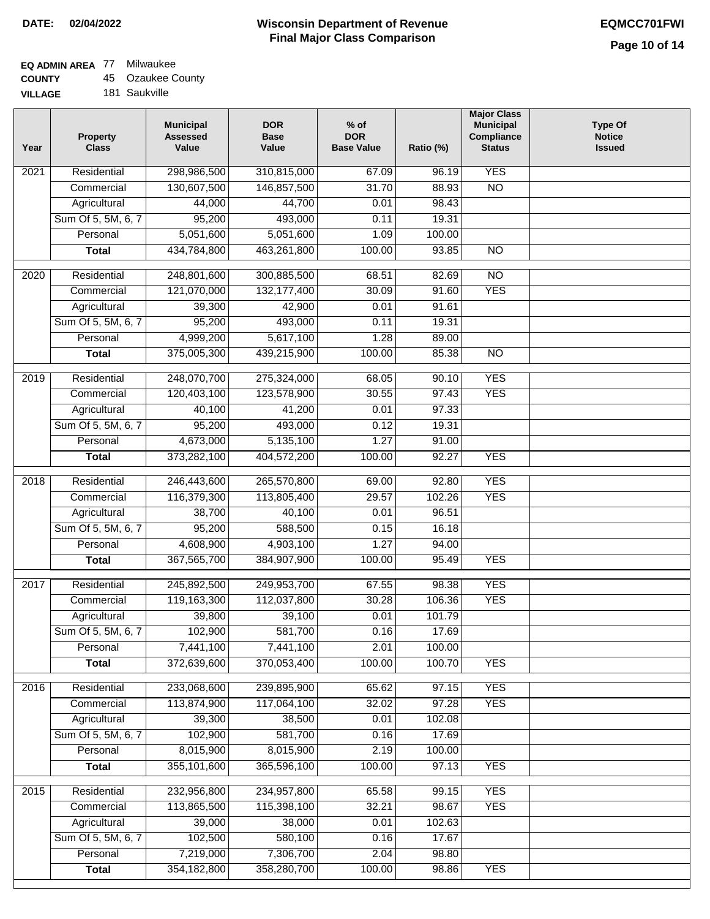# **EQ ADMIN AREA** 77 Milwaukee

**COUNTY** 45 Ozaukee County

**VILLAGE** 181 Saukville

| Year | <b>Property</b><br><b>Class</b> | <b>Municipal</b><br><b>Assessed</b><br>Value | <b>DOR</b><br><b>Base</b><br>Value | $%$ of<br><b>DOR</b><br><b>Base Value</b> | Ratio (%) | <b>Major Class</b><br><b>Municipal</b><br>Compliance<br><b>Status</b> | <b>Type Of</b><br><b>Notice</b><br><b>Issued</b> |
|------|---------------------------------|----------------------------------------------|------------------------------------|-------------------------------------------|-----------|-----------------------------------------------------------------------|--------------------------------------------------|
| 2021 | Residential                     | 298,986,500                                  | 310,815,000                        | 67.09                                     | 96.19     | <b>YES</b>                                                            |                                                  |
|      | Commercial                      | 130,607,500                                  | 146,857,500                        | 31.70                                     | 88.93     | $\overline{NO}$                                                       |                                                  |
|      | Agricultural                    | 44,000                                       | 44,700                             | 0.01                                      | 98.43     |                                                                       |                                                  |
|      | Sum Of 5, 5M, 6, 7              | 95,200                                       | 493,000                            | 0.11                                      | 19.31     |                                                                       |                                                  |
|      | Personal                        | 5,051,600                                    | 5,051,600                          | 1.09                                      | 100.00    |                                                                       |                                                  |
|      | <b>Total</b>                    | 434,784,800                                  | 463,261,800                        | 100.00                                    | 93.85     | $\overline{NO}$                                                       |                                                  |
| 2020 | Residential                     | 248,801,600                                  | 300,885,500                        | 68.51                                     | 82.69     | $\overline{NO}$                                                       |                                                  |
|      | Commercial                      | 121,070,000                                  | 132, 177, 400                      | 30.09                                     | 91.60     | <b>YES</b>                                                            |                                                  |
|      | Agricultural                    | 39,300                                       | 42,900                             | 0.01                                      | 91.61     |                                                                       |                                                  |
|      | Sum Of 5, 5M, 6, 7              | 95,200                                       | 493,000                            | 0.11                                      | 19.31     |                                                                       |                                                  |
|      | Personal                        | 4,999,200                                    | 5,617,100                          | 1.28                                      | 89.00     |                                                                       |                                                  |
|      | <b>Total</b>                    | 375,005,300                                  | 439,215,900                        | 100.00                                    | 85.38     | $\overline{NO}$                                                       |                                                  |
|      |                                 |                                              |                                    |                                           |           |                                                                       |                                                  |
| 2019 | Residential                     | 248,070,700                                  | 275,324,000                        | 68.05                                     | 90.10     | <b>YES</b>                                                            |                                                  |
|      | Commercial                      | 120,403,100                                  | 123,578,900                        | 30.55                                     | 97.43     | <b>YES</b>                                                            |                                                  |
|      | Agricultural                    | 40,100                                       | 41,200                             | 0.01                                      | 97.33     |                                                                       |                                                  |
|      | Sum Of 5, 5M, 6, 7              | 95,200                                       | 493,000                            | 0.12                                      | 19.31     |                                                                       |                                                  |
|      | Personal                        | 4,673,000                                    | 5,135,100                          | 1.27                                      | 91.00     |                                                                       |                                                  |
|      | <b>Total</b>                    | 373,282,100                                  | 404,572,200                        | 100.00                                    | 92.27     | <b>YES</b>                                                            |                                                  |
| 2018 | Residential                     | 246,443,600                                  | 265,570,800                        | 69.00                                     | 92.80     | <b>YES</b>                                                            |                                                  |
|      | Commercial                      | 116,379,300                                  | 113,805,400                        | 29.57                                     | 102.26    | <b>YES</b>                                                            |                                                  |
|      | Agricultural                    | 38,700                                       | 40,100                             | 0.01                                      | 96.51     |                                                                       |                                                  |
|      | Sum Of 5, 5M, 6, 7              | 95,200                                       | 588,500                            | 0.15                                      | 16.18     |                                                                       |                                                  |
|      | Personal                        | 4,608,900                                    | 4,903,100                          | 1.27                                      | 94.00     |                                                                       |                                                  |
|      | <b>Total</b>                    | 367,565,700                                  | 384,907,900                        | 100.00                                    | 95.49     | <b>YES</b>                                                            |                                                  |
| 2017 | Residential                     | 245,892,500                                  | 249,953,700                        | 67.55                                     | 98.38     | <b>YES</b>                                                            |                                                  |
|      | Commercial                      | 119,163,300                                  | 112,037,800                        | 30.28                                     | 106.36    | <b>YES</b>                                                            |                                                  |
|      | Agricultural                    | 39,800                                       | 39,100                             | 0.01                                      | 101.79    |                                                                       |                                                  |
|      | Sum Of 5, 5M, 6, 7              | 102,900                                      | 581,700                            | 0.16                                      | 17.69     |                                                                       |                                                  |
|      | Personal                        | 7,441,100                                    | 7,441,100                          | 2.01                                      | 100.00    |                                                                       |                                                  |
|      | <b>Total</b>                    | 372,639,600                                  | 370,053,400                        | 100.00                                    | 100.70    | <b>YES</b>                                                            |                                                  |
| 2016 | Residential                     | 233,068,600                                  | 239,895,900                        | 65.62                                     | 97.15     | <b>YES</b>                                                            |                                                  |
|      | Commercial                      | 113,874,900                                  | 117,064,100                        | 32.02                                     | 97.28     | <b>YES</b>                                                            |                                                  |
|      | Agricultural                    | 39,300                                       | 38,500                             | 0.01                                      | 102.08    |                                                                       |                                                  |
|      | Sum Of 5, 5M, 6, 7              | 102,900                                      | 581,700                            | 0.16                                      | 17.69     |                                                                       |                                                  |
|      | Personal                        | 8,015,900                                    | 8,015,900                          | 2.19                                      | 100.00    |                                                                       |                                                  |
|      | <b>Total</b>                    | 355,101,600                                  | 365,596,100                        | 100.00                                    | 97.13     | <b>YES</b>                                                            |                                                  |
|      |                                 |                                              |                                    |                                           |           |                                                                       |                                                  |
| 2015 | Residential                     | 232,956,800                                  | 234,957,800                        | 65.58                                     | 99.15     | <b>YES</b>                                                            |                                                  |
|      | Commercial                      | 113,865,500                                  | 115,398,100                        | 32.21                                     | 98.67     | <b>YES</b>                                                            |                                                  |
|      | Agricultural                    | 39,000                                       | 38,000                             | 0.01                                      | 102.63    |                                                                       |                                                  |
|      | Sum Of 5, 5M, 6, 7              | 102,500                                      | 580,100                            | 0.16                                      | 17.67     |                                                                       |                                                  |
|      | Personal                        | 7,219,000                                    | 7,306,700                          | 2.04                                      | 98.80     |                                                                       |                                                  |
|      | <b>Total</b>                    | 354, 182, 800                                | 358,280,700                        | 100.00                                    | 98.86     | <b>YES</b>                                                            |                                                  |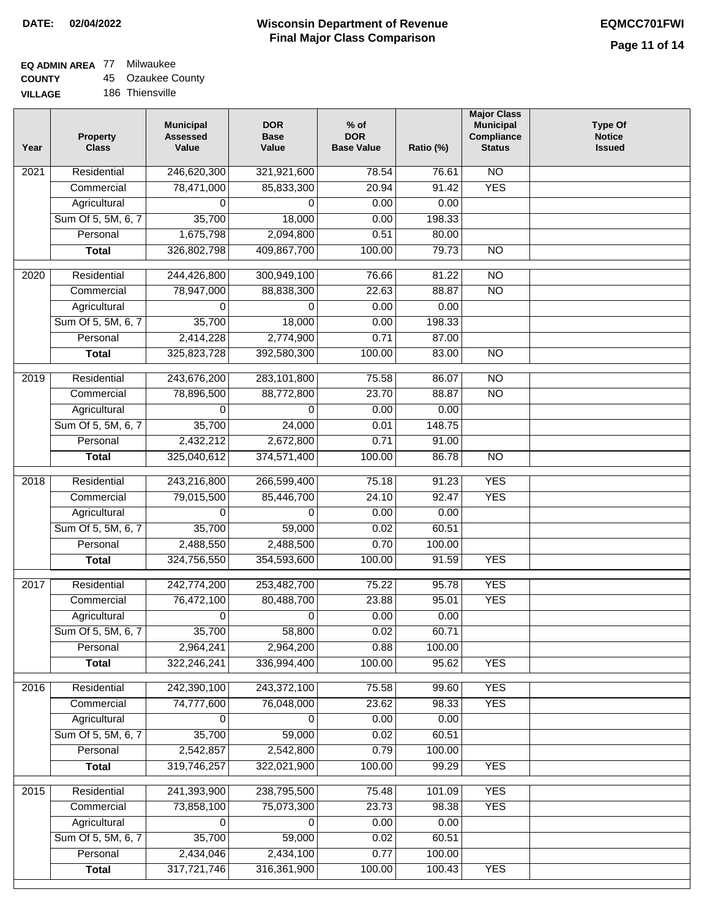## **EQ ADMIN AREA** 77 Milwaukee

**COUNTY** 45 Ozaukee County

**VILLAGE** 186 Thiensville

| Year              | <b>Property</b><br><b>Class</b> | <b>Municipal</b><br><b>Assessed</b><br>Value | <b>DOR</b><br><b>Base</b><br>Value | $%$ of<br><b>DOR</b><br><b>Base Value</b> | Ratio (%) | <b>Major Class</b><br><b>Municipal</b><br>Compliance<br><b>Status</b> | <b>Type Of</b><br><b>Notice</b><br><b>Issued</b> |
|-------------------|---------------------------------|----------------------------------------------|------------------------------------|-------------------------------------------|-----------|-----------------------------------------------------------------------|--------------------------------------------------|
| $\overline{202}1$ | Residential                     | 246,620,300                                  | 321,921,600                        | 78.54                                     | 76.61     | $\overline{NO}$                                                       |                                                  |
|                   | Commercial                      | 78,471,000                                   | 85,833,300                         | 20.94                                     | 91.42     | <b>YES</b>                                                            |                                                  |
|                   | Agricultural                    | 0                                            | 0                                  | 0.00                                      | 0.00      |                                                                       |                                                  |
|                   | Sum Of 5, 5M, 6, 7              | 35,700                                       | 18,000                             | 0.00                                      | 198.33    |                                                                       |                                                  |
|                   | Personal                        | 1,675,798                                    | 2,094,800                          | 0.51                                      | 80.00     |                                                                       |                                                  |
|                   | <b>Total</b>                    | 326,802,798                                  | 409,867,700                        | 100.00                                    | 79.73     | $\overline{NO}$                                                       |                                                  |
| 2020              | Residential                     | 244,426,800                                  | 300,949,100                        | 76.66                                     | 81.22     | $\overline{NO}$                                                       |                                                  |
|                   | Commercial                      | 78,947,000                                   | 88,838,300                         | 22.63                                     | 88.87     | $\overline{NO}$                                                       |                                                  |
|                   | Agricultural                    | 0                                            | 0                                  | 0.00                                      | 0.00      |                                                                       |                                                  |
|                   | Sum Of 5, 5M, 6, 7              | 35,700                                       | 18,000                             | 0.00                                      | 198.33    |                                                                       |                                                  |
|                   | Personal                        | 2,414,228                                    | 2,774,900                          | 0.71                                      | 87.00     |                                                                       |                                                  |
|                   | <b>Total</b>                    | 325,823,728                                  | 392,580,300                        | 100.00                                    | 83.00     | $\overline{NO}$                                                       |                                                  |
|                   |                                 |                                              |                                    |                                           |           |                                                                       |                                                  |
| 2019              | Residential                     | 243,676,200                                  | 283,101,800                        | 75.58                                     | 86.07     | NO                                                                    |                                                  |
|                   | Commercial                      | 78,896,500                                   | 88,772,800                         | 23.70                                     | 88.87     | $\overline{NO}$                                                       |                                                  |
|                   | Agricultural                    | 0                                            | 0                                  | 0.00                                      | 0.00      |                                                                       |                                                  |
|                   | Sum Of 5, 5M, 6, 7              | 35,700                                       | 24,000                             | 0.01                                      | 148.75    |                                                                       |                                                  |
|                   | Personal                        | 2,432,212                                    | 2,672,800                          | 0.71                                      | 91.00     |                                                                       |                                                  |
|                   | <b>Total</b>                    | 325,040,612                                  | 374,571,400                        | 100.00                                    | 86.78     | $\overline{NO}$                                                       |                                                  |
| 2018              | Residential                     | 243,216,800                                  | 266,599,400                        | 75.18                                     | 91.23     | <b>YES</b>                                                            |                                                  |
|                   | Commercial                      | 79,015,500                                   | 85,446,700                         | 24.10                                     | 92.47     | <b>YES</b>                                                            |                                                  |
|                   | Agricultural                    | 0                                            | 0                                  | 0.00                                      | 0.00      |                                                                       |                                                  |
|                   | Sum Of 5, 5M, 6, 7              | 35,700                                       | 59,000                             | 0.02                                      | 60.51     |                                                                       |                                                  |
|                   | Personal                        | 2,488,550                                    | 2,488,500                          | 0.70                                      | 100.00    |                                                                       |                                                  |
|                   | <b>Total</b>                    | 324,756,550                                  | 354,593,600                        | 100.00                                    | 91.59     | <b>YES</b>                                                            |                                                  |
| 2017              | Residential                     | 242,774,200                                  | 253,482,700                        |                                           | 95.78     | <b>YES</b>                                                            |                                                  |
|                   | Commercial                      | 76,472,100                                   | 80,488,700                         | 75.22<br>23.88                            | 95.01     | <b>YES</b>                                                            |                                                  |
|                   | Agricultural                    | 0                                            | 0                                  | 0.00                                      | 0.00      |                                                                       |                                                  |
|                   | Sum Of 5, 5M, 6, 7              | 35,700                                       | 58,800                             | 0.02                                      | 60.71     |                                                                       |                                                  |
|                   | Personal                        | 2,964,241                                    | 2,964,200                          | 0.88                                      | 100.00    |                                                                       |                                                  |
|                   | <b>Total</b>                    | 322,246,241                                  | 336,994,400                        | 100.00                                    | 95.62     | <b>YES</b>                                                            |                                                  |
|                   |                                 |                                              |                                    |                                           |           |                                                                       |                                                  |
| 2016              | Residential                     | 242,390,100                                  | 243,372,100                        | 75.58                                     | 99.60     | <b>YES</b>                                                            |                                                  |
|                   | Commercial                      | 74,777,600                                   | 76,048,000                         | 23.62                                     | 98.33     | <b>YES</b>                                                            |                                                  |
|                   | Agricultural                    | 0                                            | 0                                  | 0.00                                      | 0.00      |                                                                       |                                                  |
|                   | Sum Of 5, 5M, 6, 7              | 35,700                                       | 59,000                             | 0.02                                      | 60.51     |                                                                       |                                                  |
|                   | Personal                        | 2,542,857                                    | 2,542,800                          | 0.79                                      | 100.00    |                                                                       |                                                  |
|                   | <b>Total</b>                    | 319,746,257                                  | 322,021,900                        | 100.00                                    | 99.29     | <b>YES</b>                                                            |                                                  |
| 2015              | Residential                     | 241,393,900                                  | 238,795,500                        | 75.48                                     | 101.09    | <b>YES</b>                                                            |                                                  |
|                   | Commercial                      | 73,858,100                                   | 75,073,300                         | 23.73                                     | 98.38     | <b>YES</b>                                                            |                                                  |
|                   | Agricultural                    | 0                                            | 0                                  | 0.00                                      | 0.00      |                                                                       |                                                  |
|                   | Sum Of 5, 5M, 6, 7              | 35,700                                       | 59,000                             | 0.02                                      | 60.51     |                                                                       |                                                  |
|                   | Personal                        | 2,434,046                                    | 2,434,100                          | 0.77                                      | 100.00    |                                                                       |                                                  |
|                   | <b>Total</b>                    | 317,721,746                                  | 316,361,900                        | 100.00                                    | 100.43    | <b>YES</b>                                                            |                                                  |
|                   |                                 |                                              |                                    |                                           |           |                                                                       |                                                  |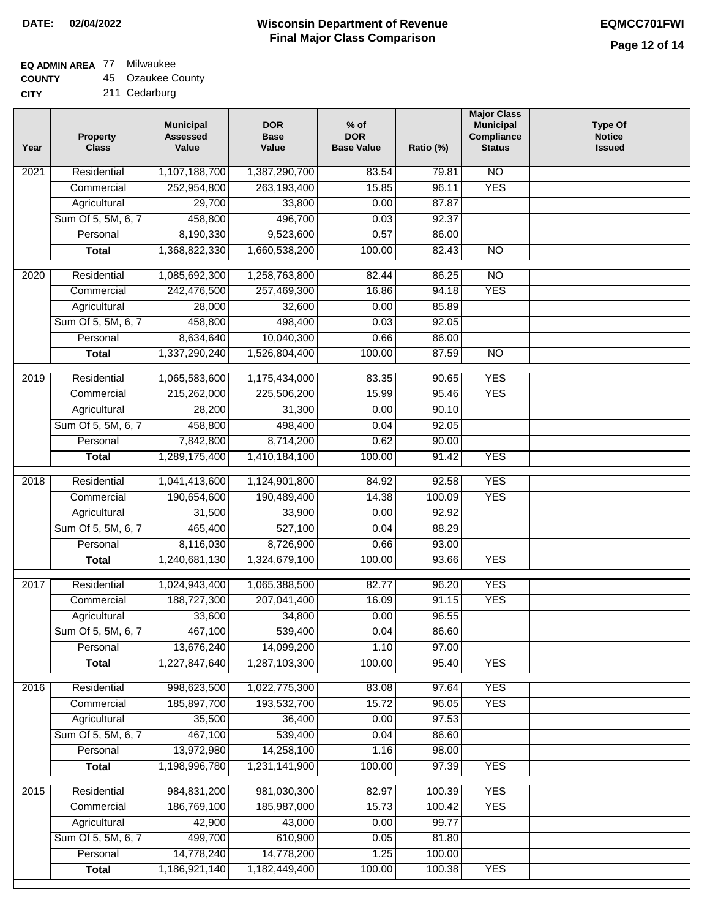### **EQ ADMIN AREA** 77 Milwaukee

**COUNTY** 45 Ozaukee County

| Year | <b>Property</b><br><b>Class</b> | <b>Municipal</b><br><b>Assessed</b><br>Value | <b>DOR</b><br><b>Base</b><br>Value | $%$ of<br><b>DOR</b><br><b>Base Value</b> | Ratio (%) | <b>Major Class</b><br><b>Municipal</b><br>Compliance<br><b>Status</b> | <b>Type Of</b><br><b>Notice</b><br><b>Issued</b> |
|------|---------------------------------|----------------------------------------------|------------------------------------|-------------------------------------------|-----------|-----------------------------------------------------------------------|--------------------------------------------------|
| 2021 | Residential                     | 1,107,188,700                                | 1,387,290,700                      | 83.54                                     | 79.81     | $\overline{NO}$                                                       |                                                  |
|      | Commercial                      | 252,954,800                                  | 263,193,400                        | 15.85                                     | 96.11     | <b>YES</b>                                                            |                                                  |
|      | Agricultural                    | 29,700                                       | 33,800                             | 0.00                                      | 87.87     |                                                                       |                                                  |
|      | Sum Of 5, 5M, 6, 7              | 458,800                                      | 496,700                            | 0.03                                      | 92.37     |                                                                       |                                                  |
|      | Personal                        | 8,190,330                                    | 9,523,600                          | 0.57                                      | 86.00     |                                                                       |                                                  |
|      | <b>Total</b>                    | 1,368,822,330                                | 1,660,538,200                      | 100.00                                    | 82.43     | $\overline{NO}$                                                       |                                                  |
| 2020 | Residential                     | 1,085,692,300                                | 1,258,763,800                      | 82.44                                     | 86.25     | $\overline{NO}$                                                       |                                                  |
|      | Commercial                      | 242,476,500                                  | 257,469,300                        | 16.86                                     | 94.18     | <b>YES</b>                                                            |                                                  |
|      | Agricultural                    | 28,000                                       | 32,600                             | 0.00                                      | 85.89     |                                                                       |                                                  |
|      | Sum Of 5, 5M, 6, 7              | 458,800                                      | 498,400                            | 0.03                                      | 92.05     |                                                                       |                                                  |
|      | Personal                        | 8,634,640                                    | 10,040,300                         | 0.66                                      | 86.00     |                                                                       |                                                  |
|      | <b>Total</b>                    | 1,337,290,240                                | 1,526,804,400                      | 100.00                                    | 87.59     | $\overline{NO}$                                                       |                                                  |
|      |                                 |                                              |                                    |                                           |           |                                                                       |                                                  |
| 2019 | Residential                     | 1,065,583,600                                | 1,175,434,000                      | 83.35                                     | 90.65     | <b>YES</b>                                                            |                                                  |
|      | Commercial                      | 215,262,000                                  | 225,506,200                        | 15.99                                     | 95.46     | <b>YES</b>                                                            |                                                  |
|      | Agricultural                    | 28,200                                       | 31,300                             | 0.00                                      | 90.10     |                                                                       |                                                  |
|      | Sum Of 5, 5M, 6, 7              | 458,800                                      | 498,400                            | 0.04                                      | 92.05     |                                                                       |                                                  |
|      | Personal                        | 7,842,800                                    | 8,714,200                          | 0.62                                      | 90.00     |                                                                       |                                                  |
|      | <b>Total</b>                    | 1,289,175,400                                | 1,410,184,100                      | 100.00                                    | 91.42     | <b>YES</b>                                                            |                                                  |
| 2018 | Residential                     | 1,041,413,600                                | 1,124,901,800                      | 84.92                                     | 92.58     | <b>YES</b>                                                            |                                                  |
|      | Commercial                      | 190,654,600                                  | 190,489,400                        | 14.38                                     | 100.09    | <b>YES</b>                                                            |                                                  |
|      | Agricultural                    | 31,500                                       | 33,900                             | 0.00                                      | 92.92     |                                                                       |                                                  |
|      | Sum Of 5, 5M, 6, 7              | 465,400                                      | 527,100                            | 0.04                                      | 88.29     |                                                                       |                                                  |
|      | Personal                        | 8,116,030                                    | 8,726,900                          | 0.66                                      | 93.00     |                                                                       |                                                  |
|      | <b>Total</b>                    | 1,240,681,130                                | 1,324,679,100                      | 100.00                                    | 93.66     | <b>YES</b>                                                            |                                                  |
| 2017 | Residential                     | 1,024,943,400                                | 1,065,388,500                      | 82.77                                     | 96.20     | <b>YES</b>                                                            |                                                  |
|      | Commercial                      | 188,727,300                                  | 207,041,400                        | 16.09                                     | 91.15     | <b>YES</b>                                                            |                                                  |
|      | Agricultural                    | 33,600                                       | 34,800                             | 0.00                                      | 96.55     |                                                                       |                                                  |
|      | Sum Of 5, 5M, 6, 7              | 467,100                                      | 539,400                            | 0.04                                      | 86.60     |                                                                       |                                                  |
|      | Personal                        | 13,676,240                                   | 14,099,200                         | 1.10                                      | 97.00     |                                                                       |                                                  |
|      | <b>Total</b>                    | 1,227,847,640                                | 1,287,103,300                      | 100.00                                    | 95.40     | <b>YES</b>                                                            |                                                  |
| 2016 | Residential                     | 998,623,500                                  | 1,022,775,300                      | 83.08                                     | 97.64     | <b>YES</b>                                                            |                                                  |
|      | Commercial                      | 185,897,700                                  | 193,532,700                        | 15.72                                     | 96.05     | <b>YES</b>                                                            |                                                  |
|      | Agricultural                    | 35,500                                       | 36,400                             | 0.00                                      | 97.53     |                                                                       |                                                  |
|      | Sum Of 5, 5M, 6, 7              | 467,100                                      | 539,400                            | 0.04                                      | 86.60     |                                                                       |                                                  |
|      | Personal                        | 13,972,980                                   | 14,258,100                         | 1.16                                      | 98.00     |                                                                       |                                                  |
|      | <b>Total</b>                    | 1,198,996,780                                | 1,231,141,900                      | 100.00                                    | 97.39     | <b>YES</b>                                                            |                                                  |
|      |                                 |                                              |                                    |                                           |           |                                                                       |                                                  |
| 2015 | Residential                     | 984,831,200                                  | 981,030,300                        | 82.97                                     | 100.39    | <b>YES</b>                                                            |                                                  |
|      | Commercial                      | 186,769,100                                  | 185,987,000                        | 15.73                                     | 100.42    | <b>YES</b>                                                            |                                                  |
|      | Agricultural                    | 42,900                                       | 43,000                             | 0.00                                      | 99.77     |                                                                       |                                                  |
|      | Sum Of 5, 5M, 6, 7              | 499,700                                      | 610,900                            | 0.05                                      | 81.80     |                                                                       |                                                  |
|      | Personal                        | 14,778,240                                   | 14,778,200                         | 1.25                                      | 100.00    |                                                                       |                                                  |
|      | <b>Total</b>                    | 1,186,921,140                                | 1,182,449,400                      | 100.00                                    | 100.38    | <b>YES</b>                                                            |                                                  |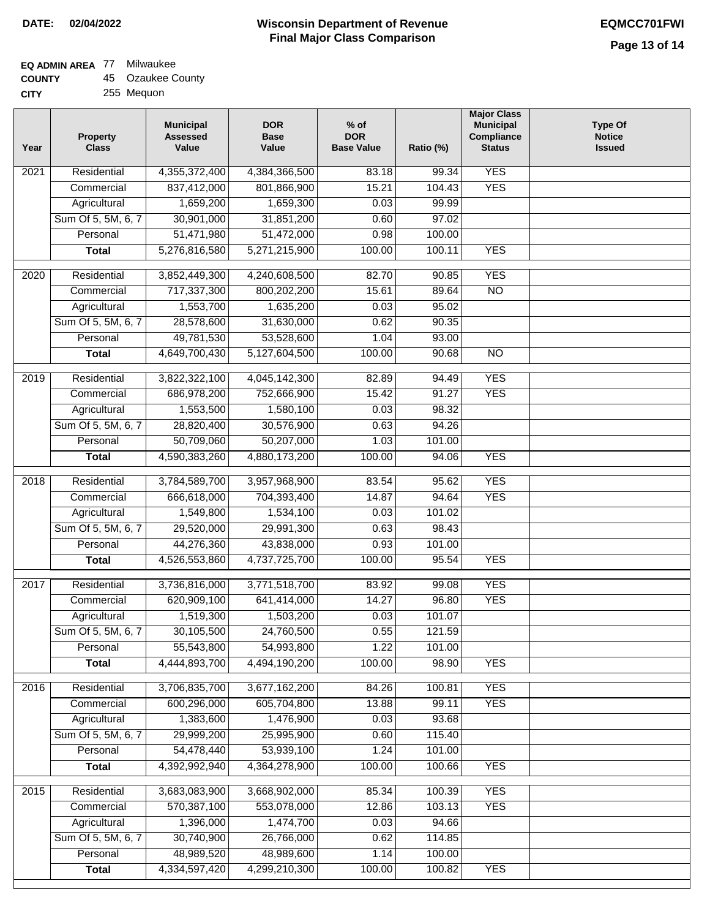## **EQ ADMIN AREA** 77 Milwaukee

| <b>COUNTY</b> |  | 45 Ozaukee County |
|---------------|--|-------------------|
|---------------|--|-------------------|

**CITY** 255 Mequon

| Year              | <b>Property</b><br><b>Class</b> | <b>Municipal</b><br><b>Assessed</b><br>Value | <b>DOR</b><br><b>Base</b><br>Value | $%$ of<br><b>DOR</b><br><b>Base Value</b> | Ratio (%) | <b>Major Class</b><br><b>Municipal</b><br>Compliance<br><b>Status</b> | <b>Type Of</b><br><b>Notice</b><br><b>Issued</b> |
|-------------------|---------------------------------|----------------------------------------------|------------------------------------|-------------------------------------------|-----------|-----------------------------------------------------------------------|--------------------------------------------------|
| 2021              | Residential                     | 4,355,372,400                                | 4,384,366,500                      | 83.18                                     | 99.34     | <b>YES</b>                                                            |                                                  |
|                   | Commercial                      | 837,412,000                                  | 801,866,900                        | 15.21                                     | 104.43    | <b>YES</b>                                                            |                                                  |
|                   | Agricultural                    | 1,659,200                                    | 1,659,300                          | 0.03                                      | 99.99     |                                                                       |                                                  |
|                   | Sum Of 5, 5M, 6, 7              | 30,901,000                                   | 31,851,200                         | 0.60                                      | 97.02     |                                                                       |                                                  |
|                   | Personal                        | 51,471,980                                   | 51,472,000                         | 0.98                                      | 100.00    |                                                                       |                                                  |
|                   | <b>Total</b>                    | 5,276,816,580                                | 5,271,215,900                      | 100.00                                    | 100.11    | <b>YES</b>                                                            |                                                  |
|                   |                                 |                                              |                                    |                                           |           |                                                                       |                                                  |
| $\overline{2020}$ | Residential                     | 3,852,449,300                                | 4,240,608,500                      | 82.70                                     | 90.85     | <b>YES</b>                                                            |                                                  |
|                   | Commercial                      | 717,337,300                                  | 800,202,200                        | 15.61                                     | 89.64     | $\overline{NO}$                                                       |                                                  |
|                   | Agricultural                    | 1,553,700                                    | 1,635,200                          | 0.03                                      | 95.02     |                                                                       |                                                  |
|                   | Sum Of 5, 5M, 6, 7              | 28,578,600                                   | 31,630,000                         | 0.62                                      | 90.35     |                                                                       |                                                  |
|                   | Personal                        | 49,781,530                                   | 53,528,600                         | 1.04                                      | 93.00     |                                                                       |                                                  |
|                   | <b>Total</b>                    | 4,649,700,430                                | 5,127,604,500                      | 100.00                                    | 90.68     | $\overline{NO}$                                                       |                                                  |
| $\frac{1}{2019}$  | Residential                     | 3,822,322,100                                | 4,045,142,300                      | 82.89                                     | 94.49     | <b>YES</b>                                                            |                                                  |
|                   | Commercial                      | 686,978,200                                  | 752,666,900                        | 15.42                                     | 91.27     | <b>YES</b>                                                            |                                                  |
|                   | Agricultural                    | 1,553,500                                    | 1,580,100                          | 0.03                                      | 98.32     |                                                                       |                                                  |
|                   | Sum Of 5, 5M, 6, 7              | 28,820,400                                   | 30,576,900                         | 0.63                                      | 94.26     |                                                                       |                                                  |
|                   | Personal                        | 50,709,060                                   | 50,207,000                         | 1.03                                      | 101.00    |                                                                       |                                                  |
|                   | <b>Total</b>                    | 4,590,383,260                                | 4,880,173,200                      | 100.00                                    | 94.06     | <b>YES</b>                                                            |                                                  |
| 2018              | Residential                     | 3,784,589,700                                | 3,957,968,900                      | 83.54                                     | 95.62     | <b>YES</b>                                                            |                                                  |
|                   | Commercial                      | 666,618,000                                  | 704,393,400                        | 14.87                                     | 94.64     | <b>YES</b>                                                            |                                                  |
|                   | Agricultural                    | 1,549,800                                    | 1,534,100                          | 0.03                                      | 101.02    |                                                                       |                                                  |
|                   | Sum Of 5, 5M, 6, 7              | 29,520,000                                   | 29,991,300                         | 0.63                                      | 98.43     |                                                                       |                                                  |
|                   | Personal                        | 44,276,360                                   | 43,838,000                         | 0.93                                      | 101.00    |                                                                       |                                                  |
|                   | <b>Total</b>                    | 4,526,553,860                                | 4,737,725,700                      | 100.00                                    | 95.54     | <b>YES</b>                                                            |                                                  |
|                   |                                 |                                              |                                    |                                           |           |                                                                       |                                                  |
| $\overline{2017}$ | Residential                     | 3,736,816,000                                | 3,771,518,700                      | 83.92                                     | 99.08     | <b>YES</b>                                                            |                                                  |
|                   | Commercial                      | 620,909,100                                  | 641,414,000                        | 14.27                                     | 96.80     | <b>YES</b>                                                            |                                                  |
|                   | Agricultural                    | 1,519,300                                    | 1,503,200                          | 0.03                                      | 101.07    |                                                                       |                                                  |
|                   | Sum Of 5, 5M, 6, 7              | 30,105,500                                   | 24,760,500                         | 0.55                                      | 121.59    |                                                                       |                                                  |
|                   | Personal                        | 55,543,800                                   | 54,993,800                         | 1.22                                      | 101.00    |                                                                       |                                                  |
|                   | <b>Total</b>                    | 4,444,893,700                                | 4,494,190,200                      | 100.00                                    | 98.90     | <b>YES</b>                                                            |                                                  |
| 2016              | Residential                     | 3,706,835,700                                | 3,677,162,200                      | 84.26                                     | 100.81    | <b>YES</b>                                                            |                                                  |
|                   | Commercial                      | 600,296,000                                  | 605,704,800                        | 13.88                                     | 99.11     | <b>YES</b>                                                            |                                                  |
|                   | Agricultural                    | 1,383,600                                    | 1,476,900                          | 0.03                                      | 93.68     |                                                                       |                                                  |
|                   | Sum Of 5, 5M, 6, 7              | 29,999,200                                   | 25,995,900                         | 0.60                                      | 115.40    |                                                                       |                                                  |
|                   | Personal                        | 54,478,440                                   | 53,939,100                         | 1.24                                      | 101.00    |                                                                       |                                                  |
|                   | <b>Total</b>                    | 4,392,992,940                                | 4,364,278,900                      | 100.00                                    | 100.66    | <b>YES</b>                                                            |                                                  |
| 2015              | Residential                     | 3,683,083,900                                | 3,668,902,000                      | 85.34                                     | 100.39    | <b>YES</b>                                                            |                                                  |
|                   | Commercial                      | 570,387,100                                  | 553,078,000                        | 12.86                                     | 103.13    | <b>YES</b>                                                            |                                                  |
|                   | Agricultural                    | 1,396,000                                    | 1,474,700                          | 0.03                                      | 94.66     |                                                                       |                                                  |
|                   | Sum Of 5, 5M, 6, 7              | 30,740,900                                   | 26,766,000                         | 0.62                                      | 114.85    |                                                                       |                                                  |
|                   | Personal                        | 48,989,520                                   | 48,989,600                         | 1.14                                      | 100.00    |                                                                       |                                                  |
|                   | <b>Total</b>                    | 4,334,597,420                                | 4,299,210,300                      | 100.00                                    | 100.82    | <b>YES</b>                                                            |                                                  |
|                   |                                 |                                              |                                    |                                           |           |                                                                       |                                                  |